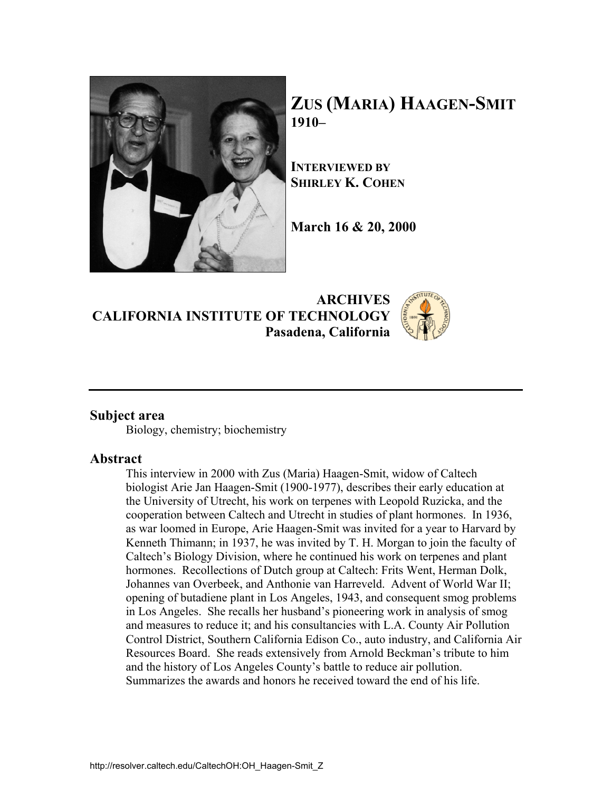

**ZUS (MARIA) HAAGEN-SMIT 1910–** 

**INTERVIEWED BY SHIRLEY K. COHEN**

**March 16 & 20, 2000** 

**ARCHIVES CALIFORNIA INSTITUTE OF TECHNOLOGY Pasadena, California**

## **Subject area**

Biology, chemistry; biochemistry

#### **Abstract**

This interview in 2000 with Zus (Maria) Haagen-Smit, widow of Caltech biologist Arie Jan Haagen-Smit (1900-1977), describes their early education at the University of Utrecht, his work on terpenes with Leopold Ruzicka, and the cooperation between Caltech and Utrecht in studies of plant hormones. In 1936, as war loomed in Europe, Arie Haagen-Smit was invited for a year to Harvard by Kenneth Thimann; in 1937, he was invited by T. H. Morgan to join the faculty of Caltech's Biology Division, where he continued his work on terpenes and plant hormones. Recollections of Dutch group at Caltech: Frits Went, Herman Dolk, Johannes van Overbeek, and Anthonie van Harreveld. Advent of World War II; opening of butadiene plant in Los Angeles, 1943, and consequent smog problems in Los Angeles. She recalls her husband's pioneering work in analysis of smog and measures to reduce it; and his consultancies with L.A. County Air Pollution Control District, Southern California Edison Co., auto industry, and California Air Resources Board. She reads extensively from Arnold Beckman's tribute to him and the history of Los Angeles County's battle to reduce air pollution. Summarizes the awards and honors he received toward the end of his life.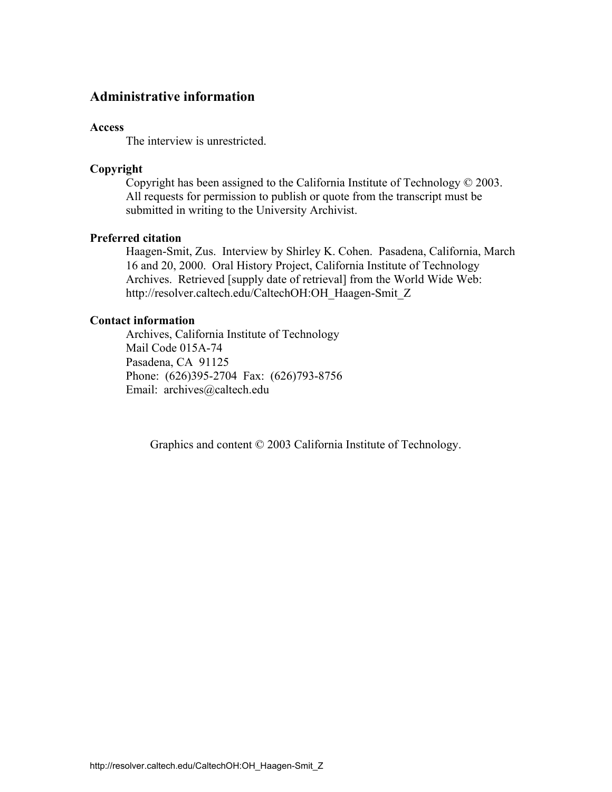## **Administrative information**

#### **Access**

The interview is unrestricted.

#### **Copyright**

 Copyright has been assigned to the California Institute of Technology © 2003. All requests for permission to publish or quote from the transcript must be submitted in writing to the University Archivist.

### **Preferred citation**

 Haagen-Smit, Zus. Interview by Shirley K. Cohen. Pasadena, California, March 16 and 20, 2000. Oral History Project, California Institute of Technology Archives. Retrieved [supply date of retrieval] from the World Wide Web: http://resolver.caltech.edu/CaltechOH:OH\_Haagen-Smit\_Z

#### **Contact information**

 Archives, California Institute of Technology Mail Code 015A-74 Pasadena, CA 91125 Phone: (626)395-2704 Fax: (626)793-8756 Email: archives@caltech.edu

Graphics and content © 2003 California Institute of Technology.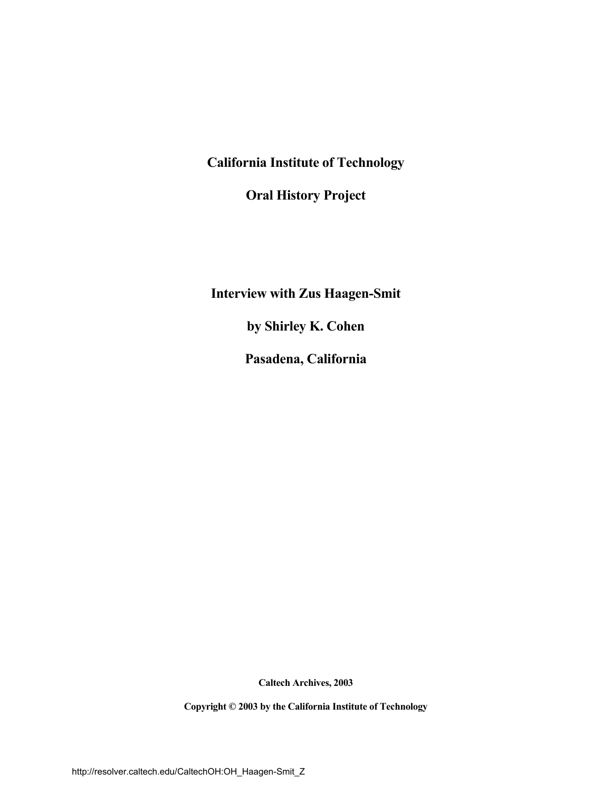**California Institute of Technology** 

 **Oral History Project** 

 **Interview with Zus Haagen-Smit** 

 **by Shirley K. Cohen** 

 **Pasadena, California** 

**Caltech Archives, 2003** 

 **Copyright © 2003 by the California Institute of Technology**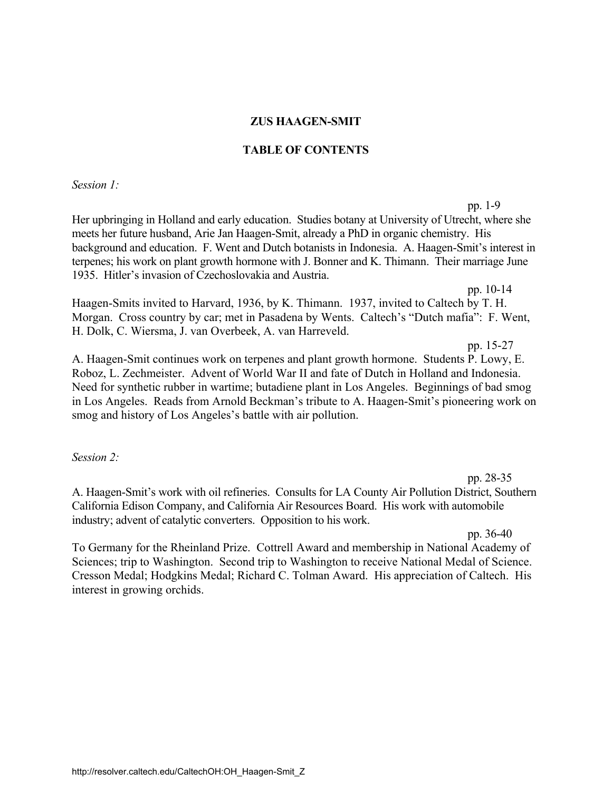### **ZUS HAAGEN-SMIT**

### **TABLE OF CONTENTS**

*Session 1:* 

pp. 1-9 Her upbringing in Holland and early education. Studies botany at University of Utrecht, where she meets her future husband, Arie Jan Haagen-Smit, already a PhD in organic chemistry. His background and education. F. Went and Dutch botanists in Indonesia. A. Haagen-Smit's interest in terpenes; his work on plant growth hormone with J. Bonner and K. Thimann. Their marriage June 1935. Hitler's invasion of Czechoslovakia and Austria.

pp. 10-14

Haagen-Smits invited to Harvard, 1936, by K. Thimann. 1937, invited to Caltech by T. H. Morgan. Cross country by car; met in Pasadena by Wents. Caltech's "Dutch mafia": F. Went, H. Dolk, C. Wiersma, J. van Overbeek, A. van Harreveld.

pp. 15-27

A. Haagen-Smit continues work on terpenes and plant growth hormone. Students P. Lowy, E. Roboz, L. Zechmeister. Advent of World War II and fate of Dutch in Holland and Indonesia. Need for synthetic rubber in wartime; butadiene plant in Los Angeles. Beginnings of bad smog in Los Angeles. Reads from Arnold Beckman's tribute to A. Haagen-Smit's pioneering work on smog and history of Los Angeles's battle with air pollution.

*Session 2:* 

pp. 28-35 A. Haagen-Smit's work with oil refineries. Consults for LA County Air Pollution District, Southern California Edison Company, and California Air Resources Board. His work with automobile industry; advent of catalytic converters. Opposition to his work.

pp. 36-40

To Germany for the Rheinland Prize. Cottrell Award and membership in National Academy of Sciences; trip to Washington. Second trip to Washington to receive National Medal of Science. Cresson Medal; Hodgkins Medal; Richard C. Tolman Award. His appreciation of Caltech. His interest in growing orchids.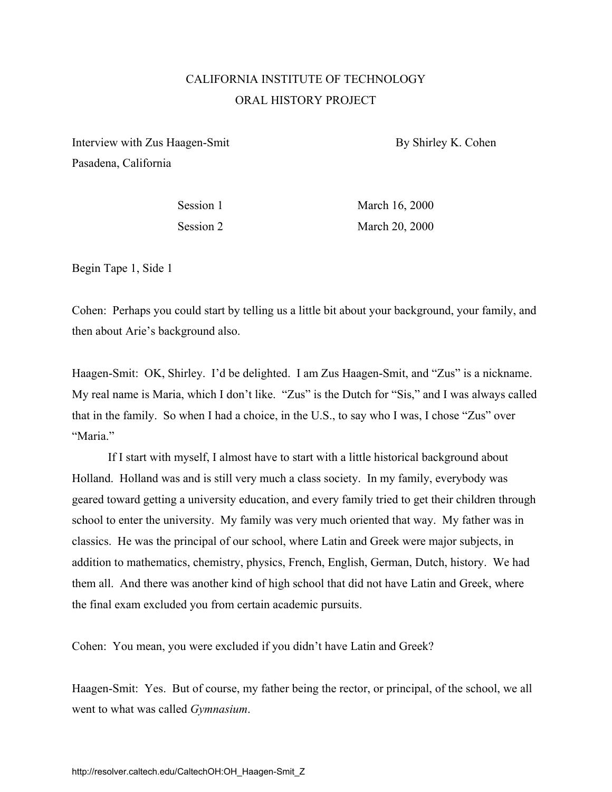# CALIFORNIA INSTITUTE OF TECHNOLOGY ORAL HISTORY PROJECT

Interview with Zus Haagen-Smit By Shirley K. Cohen Pasadena, California

Session 1 March 16, 2000 Session 2 March 20, 2000

Begin Tape 1, Side 1

Cohen: Perhaps you could start by telling us a little bit about your background, your family, and then about Arie's background also.

Haagen-Smit: OK, Shirley. I'd be delighted. I am Zus Haagen-Smit, and "Zus" is a nickname. My real name is Maria, which I don't like. "Zus" is the Dutch for "Sis," and I was always called that in the family. So when I had a choice, in the U.S., to say who I was, I chose "Zus" over "Maria"

If I start with myself, I almost have to start with a little historical background about Holland. Holland was and is still very much a class society. In my family, everybody was geared toward getting a university education, and every family tried to get their children through school to enter the university. My family was very much oriented that way. My father was in classics. He was the principal of our school, where Latin and Greek were major subjects, in addition to mathematics, chemistry, physics, French, English, German, Dutch, history. We had them all. And there was another kind of high school that did not have Latin and Greek, where the final exam excluded you from certain academic pursuits.

Cohen: You mean, you were excluded if you didn't have Latin and Greek?

Haagen-Smit: Yes. But of course, my father being the rector, or principal, of the school, we all went to what was called *Gymnasium*.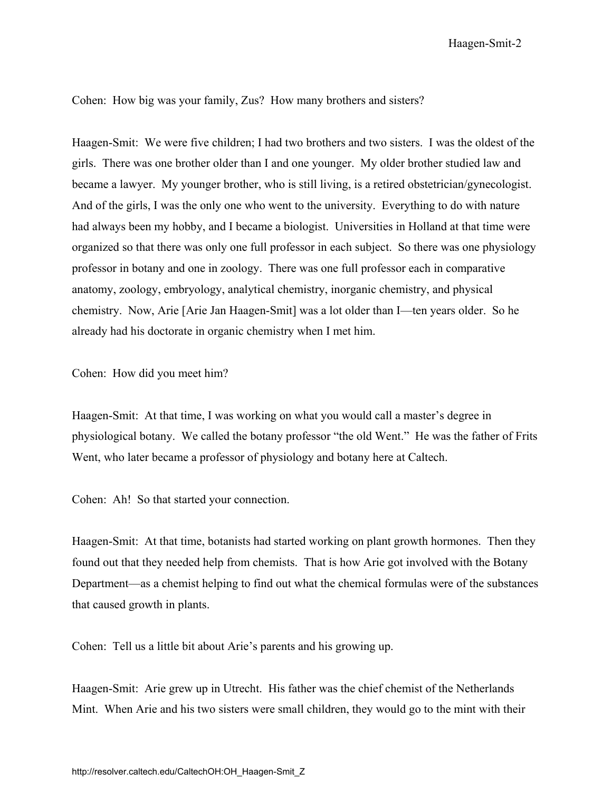Haagen-Smit-2

Cohen: How big was your family, Zus? How many brothers and sisters?

Haagen-Smit: We were five children; I had two brothers and two sisters. I was the oldest of the girls. There was one brother older than I and one younger. My older brother studied law and became a lawyer. My younger brother, who is still living, is a retired obstetrician/gynecologist. And of the girls, I was the only one who went to the university. Everything to do with nature had always been my hobby, and I became a biologist. Universities in Holland at that time were organized so that there was only one full professor in each subject. So there was one physiology professor in botany and one in zoology. There was one full professor each in comparative anatomy, zoology, embryology, analytical chemistry, inorganic chemistry, and physical chemistry. Now, Arie [Arie Jan Haagen-Smit] was a lot older than I—ten years older. So he already had his doctorate in organic chemistry when I met him.

Cohen: How did you meet him?

Haagen-Smit: At that time, I was working on what you would call a master's degree in physiological botany. We called the botany professor "the old Went." He was the father of Frits Went, who later became a professor of physiology and botany here at Caltech.

Cohen: Ah! So that started your connection.

Haagen-Smit: At that time, botanists had started working on plant growth hormones. Then they found out that they needed help from chemists. That is how Arie got involved with the Botany Department—as a chemist helping to find out what the chemical formulas were of the substances that caused growth in plants.

Cohen: Tell us a little bit about Arie's parents and his growing up.

Haagen-Smit: Arie grew up in Utrecht. His father was the chief chemist of the Netherlands Mint. When Arie and his two sisters were small children, they would go to the mint with their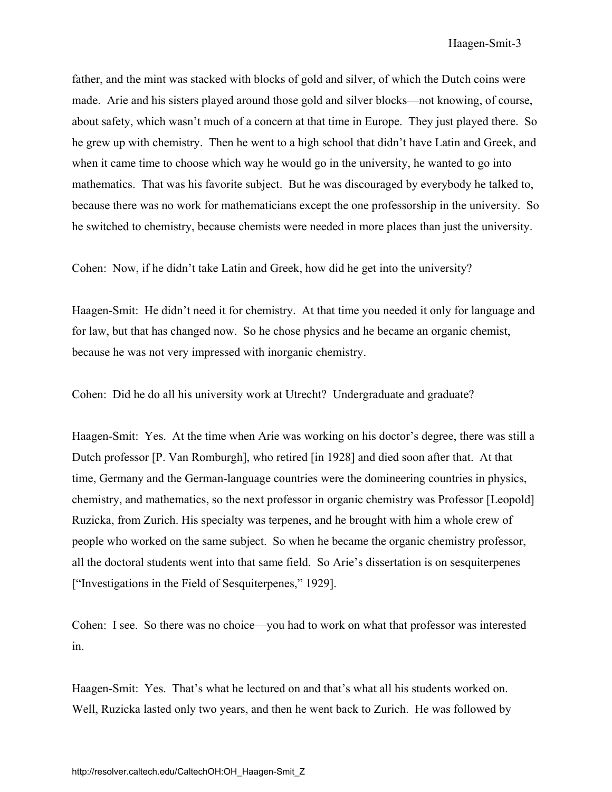father, and the mint was stacked with blocks of gold and silver, of which the Dutch coins were made. Arie and his sisters played around those gold and silver blocks—not knowing, of course, about safety, which wasn't much of a concern at that time in Europe. They just played there. So he grew up with chemistry. Then he went to a high school that didn't have Latin and Greek, and when it came time to choose which way he would go in the university, he wanted to go into mathematics. That was his favorite subject. But he was discouraged by everybody he talked to, because there was no work for mathematicians except the one professorship in the university. So he switched to chemistry, because chemists were needed in more places than just the university.

Cohen: Now, if he didn't take Latin and Greek, how did he get into the university?

Haagen-Smit: He didn't need it for chemistry. At that time you needed it only for language and for law, but that has changed now. So he chose physics and he became an organic chemist, because he was not very impressed with inorganic chemistry.

Cohen: Did he do all his university work at Utrecht? Undergraduate and graduate?

Haagen-Smit: Yes. At the time when Arie was working on his doctor's degree, there was still a Dutch professor [P. Van Romburgh], who retired [in 1928] and died soon after that. At that time, Germany and the German-language countries were the domineering countries in physics, chemistry, and mathematics, so the next professor in organic chemistry was Professor [Leopold] Ruzicka, from Zurich. His specialty was terpenes, and he brought with him a whole crew of people who worked on the same subject. So when he became the organic chemistry professor, all the doctoral students went into that same field. So Arie's dissertation is on sesquiterpenes ["Investigations in the Field of Sesquiterpenes," 1929].

Cohen: I see. So there was no choice—you had to work on what that professor was interested in.

Haagen-Smit: Yes. That's what he lectured on and that's what all his students worked on. Well, Ruzicka lasted only two years, and then he went back to Zurich. He was followed by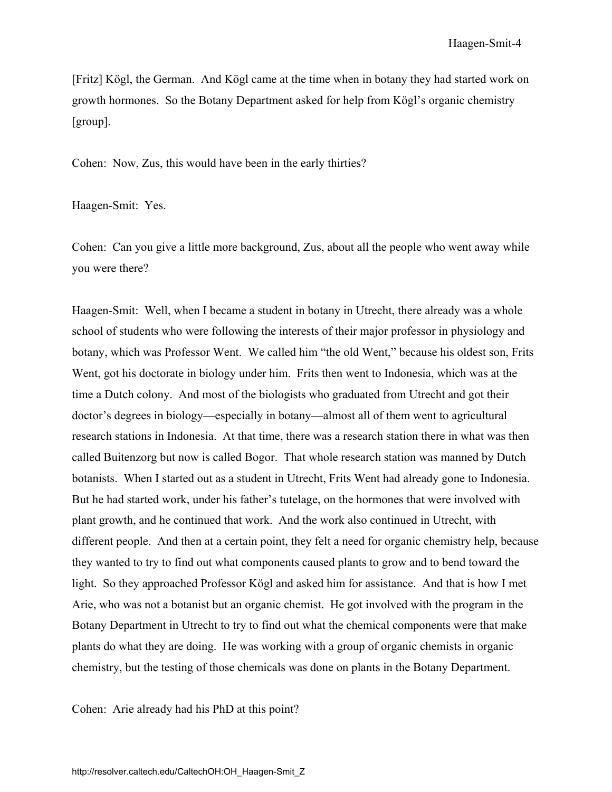[Fritz] Kögl, the German. And Kögl came at the time when in botany they had started work on growth hormones. So the Botany Department asked for help from Kögl's organic chemistry [group].

Cohen: Now, Zus, this would have been in the early thirties?

Haagen-Smit: Yes.

Cohen: Can you give a little more background, Zus, about all the people who went away while you were there?

Haagen-Smit: Well, when I became a student in botany in Utrecht, there already was a whole school of students who were following the interests of their major professor in physiology and botany, which was Professor Went. We called him "the old Went," because his oldest son, Frits Went, got his doctorate in biology under him. Frits then went to Indonesia, which was at the time a Dutch colony. And most of the biologists who graduated from Utrecht and got their doctor's degrees in biology—especially in botany—almost all of them went to agricultural research stations in Indonesia. At that time, there was a research station there in what was then called Buitenzorg but now is called Bogor. That whole research station was manned by Dutch botanists. When I started out as a student in Utrecht, Frits Went had already gone to Indonesia. But he had started work, under his father's tutelage, on the hormones that were involved with plant growth, and he continued that work. And the work also continued in Utrecht, with different people. And then at a certain point, they felt a need for organic chemistry help, because they wanted to try to find out what components caused plants to grow and to bend toward the light. So they approached Professor Kögl and asked him for assistance. And that is how I met Arie, who was not a botanist but an organic chemist. He got involved with the program in the Botany Department in Utrecht to try to find out what the chemical components were that make plants do what they are doing. He was working with a group of organic chemists in organic chemistry, but the testing of those chemicals was done on plants in the Botany Department.

Cohen: Arie already had his PhD at this point?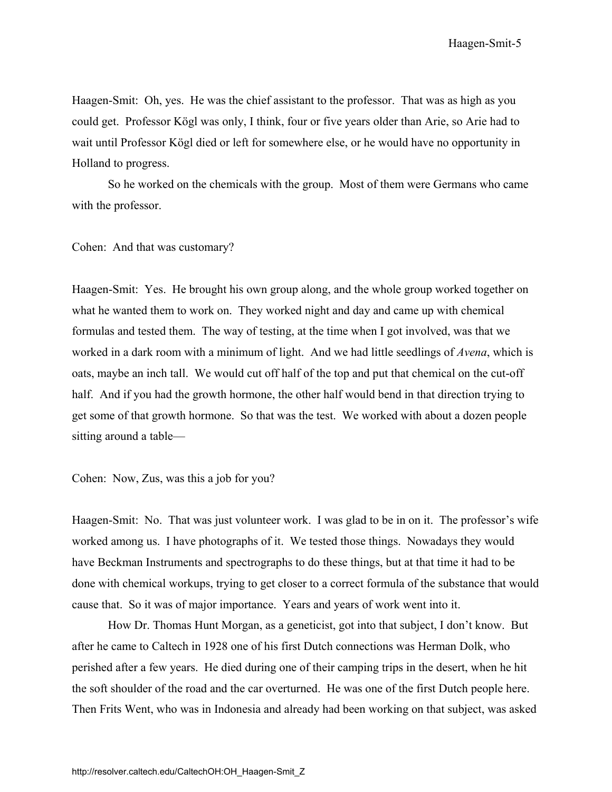Haagen-Smit: Oh, yes. He was the chief assistant to the professor. That was as high as you could get. Professor Kögl was only, I think, four or five years older than Arie, so Arie had to wait until Professor Kögl died or left for somewhere else, or he would have no opportunity in Holland to progress.

So he worked on the chemicals with the group. Most of them were Germans who came with the professor.

Cohen: And that was customary?

Haagen-Smit: Yes. He brought his own group along, and the whole group worked together on what he wanted them to work on. They worked night and day and came up with chemical formulas and tested them. The way of testing, at the time when I got involved, was that we worked in a dark room with a minimum of light. And we had little seedlings of *Avena*, which is oats, maybe an inch tall. We would cut off half of the top and put that chemical on the cut-off half. And if you had the growth hormone, the other half would bend in that direction trying to get some of that growth hormone. So that was the test. We worked with about a dozen people sitting around a table—

Cohen: Now, Zus, was this a job for you?

Haagen-Smit: No. That was just volunteer work. I was glad to be in on it. The professor's wife worked among us. I have photographs of it. We tested those things. Nowadays they would have Beckman Instruments and spectrographs to do these things, but at that time it had to be done with chemical workups, trying to get closer to a correct formula of the substance that would cause that. So it was of major importance. Years and years of work went into it.

How Dr. Thomas Hunt Morgan, as a geneticist, got into that subject, I don't know. But after he came to Caltech in 1928 one of his first Dutch connections was Herman Dolk, who perished after a few years. He died during one of their camping trips in the desert, when he hit the soft shoulder of the road and the car overturned. He was one of the first Dutch people here. Then Frits Went, who was in Indonesia and already had been working on that subject, was asked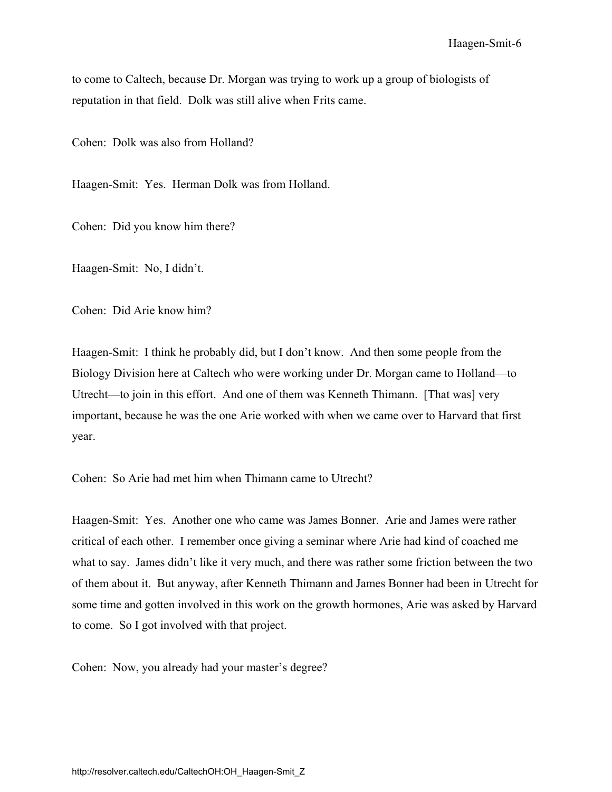to come to Caltech, because Dr. Morgan was trying to work up a group of biologists of reputation in that field. Dolk was still alive when Frits came.

Cohen: Dolk was also from Holland?

Haagen-Smit: Yes. Herman Dolk was from Holland.

Cohen: Did you know him there?

Haagen-Smit: No, I didn't.

Cohen: Did Arie know him?

Haagen-Smit: I think he probably did, but I don't know. And then some people from the Biology Division here at Caltech who were working under Dr. Morgan came to Holland—to Utrecht—to join in this effort. And one of them was Kenneth Thimann. [That was] very important, because he was the one Arie worked with when we came over to Harvard that first year.

Cohen: So Arie had met him when Thimann came to Utrecht?

Haagen-Smit: Yes. Another one who came was James Bonner. Arie and James were rather critical of each other. I remember once giving a seminar where Arie had kind of coached me what to say. James didn't like it very much, and there was rather some friction between the two of them about it. But anyway, after Kenneth Thimann and James Bonner had been in Utrecht for some time and gotten involved in this work on the growth hormones, Arie was asked by Harvard to come. So I got involved with that project.

Cohen: Now, you already had your master's degree?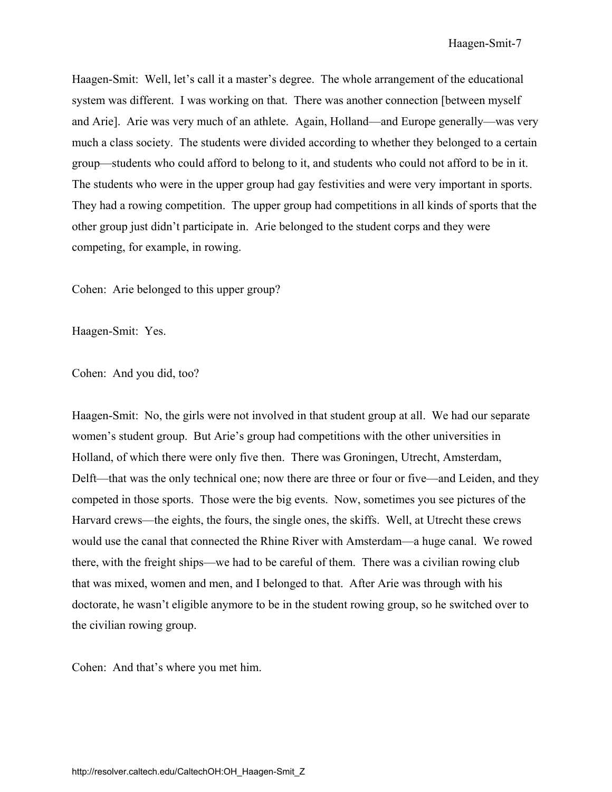Haagen-Smit: Well, let's call it a master's degree. The whole arrangement of the educational system was different. I was working on that. There was another connection [between myself and Arie]. Arie was very much of an athlete. Again, Holland—and Europe generally—was very much a class society. The students were divided according to whether they belonged to a certain group—students who could afford to belong to it, and students who could not afford to be in it. The students who were in the upper group had gay festivities and were very important in sports. They had a rowing competition. The upper group had competitions in all kinds of sports that the other group just didn't participate in. Arie belonged to the student corps and they were competing, for example, in rowing.

Cohen: Arie belonged to this upper group?

Haagen-Smit: Yes.

Cohen: And you did, too?

Haagen-Smit: No, the girls were not involved in that student group at all. We had our separate women's student group. But Arie's group had competitions with the other universities in Holland, of which there were only five then. There was Groningen, Utrecht, Amsterdam, Delft—that was the only technical one; now there are three or four or five—and Leiden, and they competed in those sports. Those were the big events. Now, sometimes you see pictures of the Harvard crews—the eights, the fours, the single ones, the skiffs. Well, at Utrecht these crews would use the canal that connected the Rhine River with Amsterdam—a huge canal. We rowed there, with the freight ships—we had to be careful of them. There was a civilian rowing club that was mixed, women and men, and I belonged to that. After Arie was through with his doctorate, he wasn't eligible anymore to be in the student rowing group, so he switched over to the civilian rowing group.

Cohen: And that's where you met him.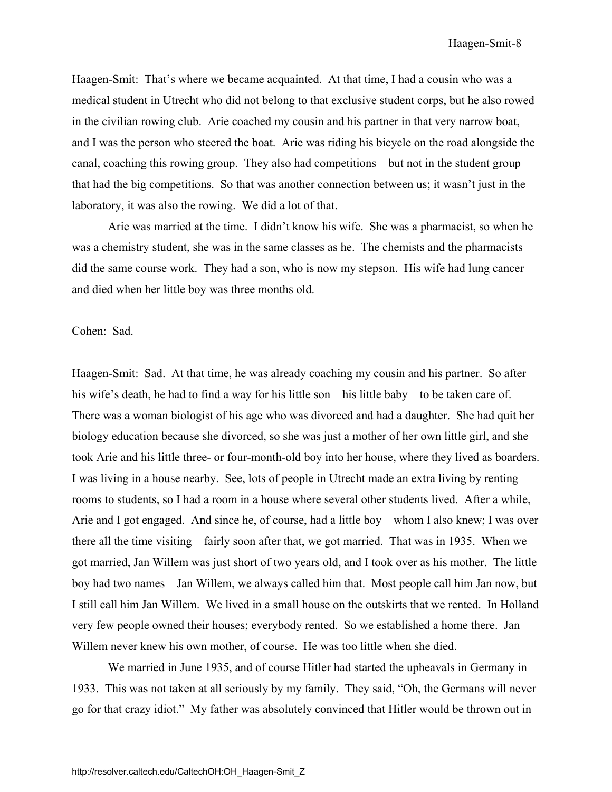Haagen-Smit: That's where we became acquainted. At that time, I had a cousin who was a medical student in Utrecht who did not belong to that exclusive student corps, but he also rowed in the civilian rowing club. Arie coached my cousin and his partner in that very narrow boat, and I was the person who steered the boat. Arie was riding his bicycle on the road alongside the canal, coaching this rowing group. They also had competitions—but not in the student group that had the big competitions. So that was another connection between us; it wasn't just in the laboratory, it was also the rowing. We did a lot of that.

Arie was married at the time. I didn't know his wife. She was a pharmacist, so when he was a chemistry student, she was in the same classes as he. The chemists and the pharmacists did the same course work. They had a son, who is now my stepson. His wife had lung cancer and died when her little boy was three months old.

Cohen: Sad.

Haagen-Smit: Sad. At that time, he was already coaching my cousin and his partner. So after his wife's death, he had to find a way for his little son—his little baby—to be taken care of. There was a woman biologist of his age who was divorced and had a daughter. She had quit her biology education because she divorced, so she was just a mother of her own little girl, and she took Arie and his little three- or four-month-old boy into her house, where they lived as boarders. I was living in a house nearby. See, lots of people in Utrecht made an extra living by renting rooms to students, so I had a room in a house where several other students lived. After a while, Arie and I got engaged. And since he, of course, had a little boy—whom I also knew; I was over there all the time visiting—fairly soon after that, we got married. That was in 1935. When we got married, Jan Willem was just short of two years old, and I took over as his mother. The little boy had two names—Jan Willem, we always called him that. Most people call him Jan now, but I still call him Jan Willem. We lived in a small house on the outskirts that we rented. In Holland very few people owned their houses; everybody rented. So we established a home there. Jan Willem never knew his own mother, of course. He was too little when she died.

We married in June 1935, and of course Hitler had started the upheavals in Germany in 1933. This was not taken at all seriously by my family. They said, "Oh, the Germans will never go for that crazy idiot." My father was absolutely convinced that Hitler would be thrown out in

http://resolver.caltech.edu/CaltechOH:OH\_Haagen-Smit\_Z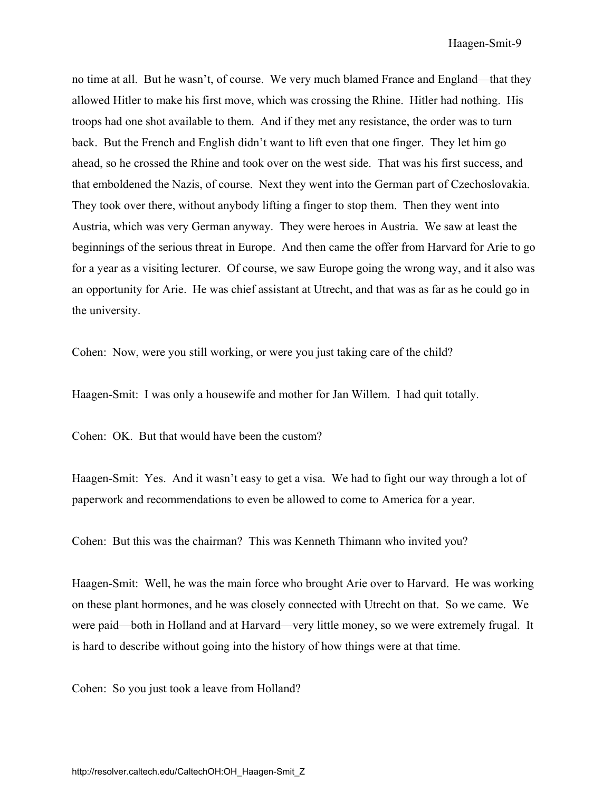no time at all. But he wasn't, of course. We very much blamed France and England—that they allowed Hitler to make his first move, which was crossing the Rhine. Hitler had nothing. His troops had one shot available to them. And if they met any resistance, the order was to turn back. But the French and English didn't want to lift even that one finger. They let him go ahead, so he crossed the Rhine and took over on the west side. That was his first success, and that emboldened the Nazis, of course. Next they went into the German part of Czechoslovakia. They took over there, without anybody lifting a finger to stop them. Then they went into Austria, which was very German anyway. They were heroes in Austria. We saw at least the beginnings of the serious threat in Europe. And then came the offer from Harvard for Arie to go for a year as a visiting lecturer. Of course, we saw Europe going the wrong way, and it also was an opportunity for Arie. He was chief assistant at Utrecht, and that was as far as he could go in the university.

Cohen: Now, were you still working, or were you just taking care of the child?

Haagen-Smit: I was only a housewife and mother for Jan Willem. I had quit totally.

Cohen: OK. But that would have been the custom?

Haagen-Smit: Yes. And it wasn't easy to get a visa. We had to fight our way through a lot of paperwork and recommendations to even be allowed to come to America for a year.

Cohen: But this was the chairman? This was Kenneth Thimann who invited you?

Haagen-Smit: Well, he was the main force who brought Arie over to Harvard. He was working on these plant hormones, and he was closely connected with Utrecht on that. So we came. We were paid—both in Holland and at Harvard—very little money, so we were extremely frugal. It is hard to describe without going into the history of how things were at that time.

Cohen: So you just took a leave from Holland?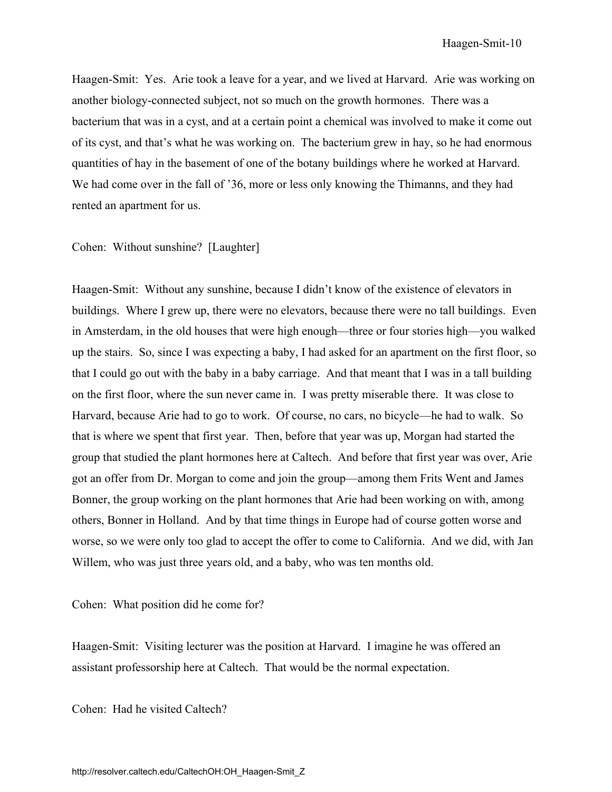Haagen-Smit: Yes. Arie took a leave for a year, and we lived at Harvard. Arie was working on another biology-connected subject, not so much on the growth hormones. There was a bacterium that was in a cyst, and at a certain point a chemical was involved to make it come out of its cyst, and that's what he was working on. The bacterium grew in hay, so he had enormous quantities of hay in the basement of one of the botany buildings where he worked at Harvard. We had come over in the fall of '36, more or less only knowing the Thimanns, and they had rented an apartment for us.

#### Cohen: Without sunshine? [Laughter]

Haagen-Smit: Without any sunshine, because I didn't know of the existence of elevators in buildings. Where I grew up, there were no elevators, because there were no tall buildings. Even in Amsterdam, in the old houses that were high enough—three or four stories high—you walked up the stairs. So, since I was expecting a baby, I had asked for an apartment on the first floor, so that I could go out with the baby in a baby carriage. And that meant that I was in a tall building on the first floor, where the sun never came in. I was pretty miserable there. It was close to Harvard, because Arie had to go to work. Of course, no cars, no bicycle—he had to walk. So that is where we spent that first year. Then, before that year was up, Morgan had started the group that studied the plant hormones here at Caltech. And before that first year was over, Arie got an offer from Dr. Morgan to come and join the group—among them Frits Went and James Bonner, the group working on the plant hormones that Arie had been working on with, among others, Bonner in Holland. And by that time things in Europe had of course gotten worse and worse, so we were only too glad to accept the offer to come to California. And we did, with Jan Willem, who was just three years old, and a baby, who was ten months old.

Cohen: What position did he come for?

Haagen-Smit: Visiting lecturer was the position at Harvard. I imagine he was offered an assistant professorship here at Caltech. That would be the normal expectation.

Cohen: Had he visited Caltech?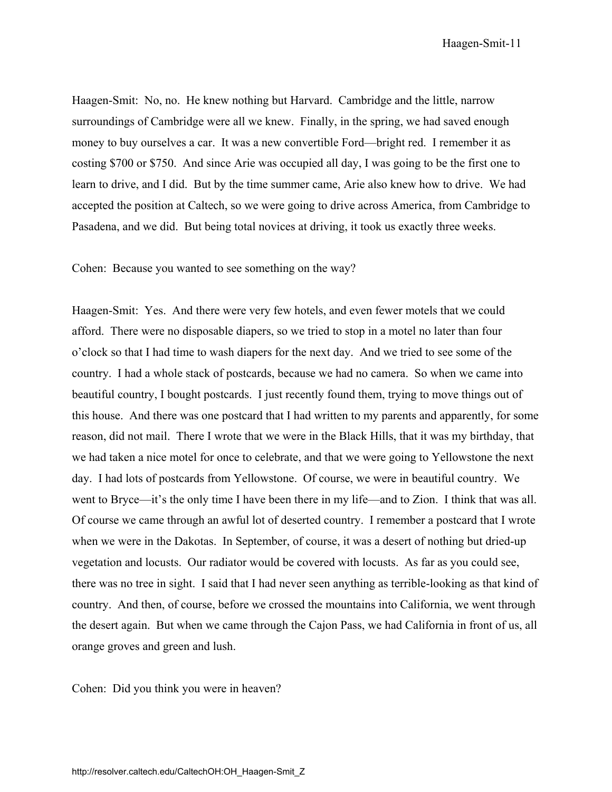Haagen-Smit-11

Haagen-Smit: No, no. He knew nothing but Harvard. Cambridge and the little, narrow surroundings of Cambridge were all we knew. Finally, in the spring, we had saved enough money to buy ourselves a car. It was a new convertible Ford—bright red. I remember it as costing \$700 or \$750. And since Arie was occupied all day, I was going to be the first one to learn to drive, and I did. But by the time summer came, Arie also knew how to drive. We had accepted the position at Caltech, so we were going to drive across America, from Cambridge to Pasadena, and we did. But being total novices at driving, it took us exactly three weeks.

Cohen: Because you wanted to see something on the way?

Haagen-Smit: Yes. And there were very few hotels, and even fewer motels that we could afford. There were no disposable diapers, so we tried to stop in a motel no later than four o'clock so that I had time to wash diapers for the next day. And we tried to see some of the country. I had a whole stack of postcards, because we had no camera. So when we came into beautiful country, I bought postcards. I just recently found them, trying to move things out of this house. And there was one postcard that I had written to my parents and apparently, for some reason, did not mail. There I wrote that we were in the Black Hills, that it was my birthday, that we had taken a nice motel for once to celebrate, and that we were going to Yellowstone the next day. I had lots of postcards from Yellowstone. Of course, we were in beautiful country. We went to Bryce—it's the only time I have been there in my life—and to Zion. I think that was all. Of course we came through an awful lot of deserted country. I remember a postcard that I wrote when we were in the Dakotas. In September, of course, it was a desert of nothing but dried-up vegetation and locusts. Our radiator would be covered with locusts. As far as you could see, there was no tree in sight. I said that I had never seen anything as terrible-looking as that kind of country. And then, of course, before we crossed the mountains into California, we went through the desert again. But when we came through the Cajon Pass, we had California in front of us, all orange groves and green and lush.

Cohen: Did you think you were in heaven?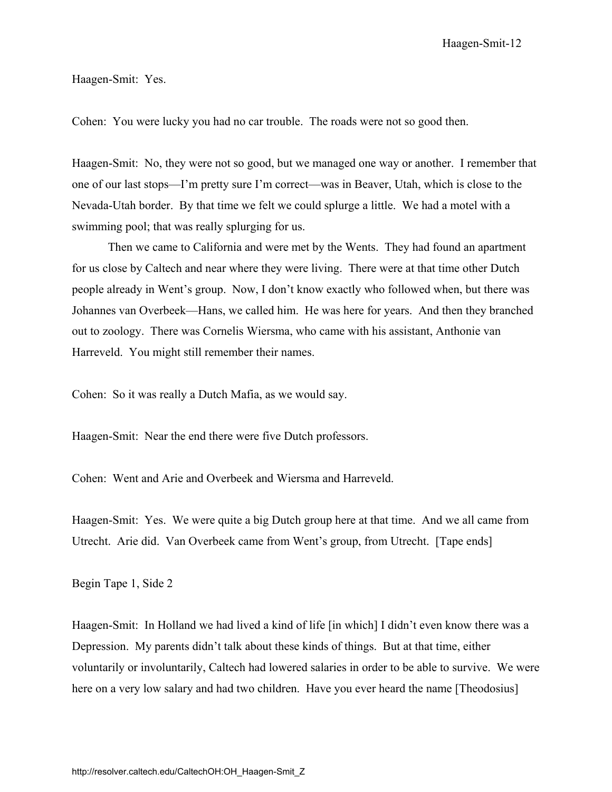Haagen-Smit-12

Haagen-Smit: Yes.

Cohen: You were lucky you had no car trouble. The roads were not so good then.

Haagen-Smit: No, they were not so good, but we managed one way or another. I remember that one of our last stops—I'm pretty sure I'm correct—was in Beaver, Utah, which is close to the Nevada-Utah border. By that time we felt we could splurge a little. We had a motel with a swimming pool; that was really splurging for us.

Then we came to California and were met by the Wents. They had found an apartment for us close by Caltech and near where they were living. There were at that time other Dutch people already in Went's group. Now, I don't know exactly who followed when, but there was Johannes van Overbeek—Hans, we called him. He was here for years. And then they branched out to zoology. There was Cornelis Wiersma, who came with his assistant, Anthonie van Harreveld. You might still remember their names.

Cohen: So it was really a Dutch Mafia, as we would say.

Haagen-Smit: Near the end there were five Dutch professors.

Cohen: Went and Arie and Overbeek and Wiersma and Harreveld.

Haagen-Smit: Yes. We were quite a big Dutch group here at that time. And we all came from Utrecht. Arie did. Van Overbeek came from Went's group, from Utrecht. [Tape ends]

Begin Tape 1, Side 2

Haagen-Smit: In Holland we had lived a kind of life [in which] I didn't even know there was a Depression. My parents didn't talk about these kinds of things. But at that time, either voluntarily or involuntarily, Caltech had lowered salaries in order to be able to survive. We were here on a very low salary and had two children. Have you ever heard the name [Theodosius]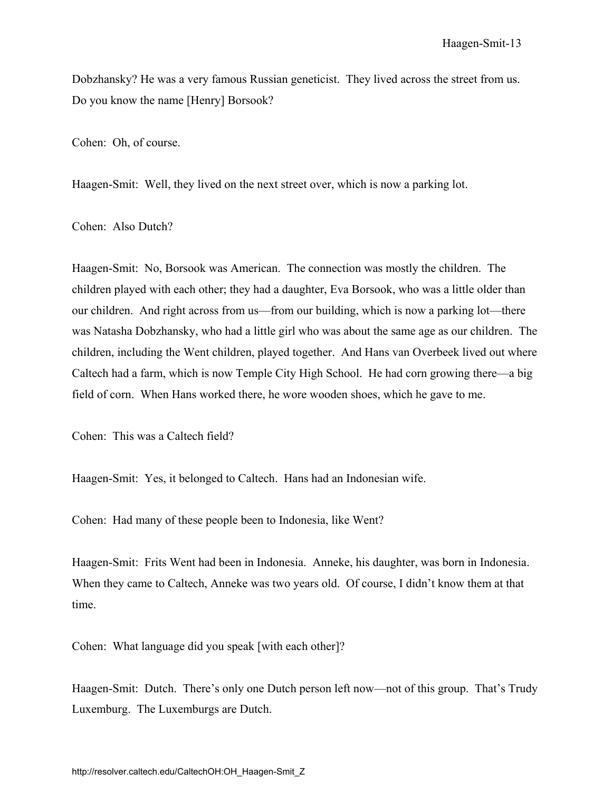Dobzhansky? He was a very famous Russian geneticist. They lived across the street from us. Do you know the name [Henry] Borsook?

Cohen: Oh, of course.

Haagen-Smit: Well, they lived on the next street over, which is now a parking lot.

Cohen: Also Dutch?

Haagen-Smit: No, Borsook was American. The connection was mostly the children. The children played with each other; they had a daughter, Eva Borsook, who was a little older than our children. And right across from us—from our building, which is now a parking lot—there was Natasha Dobzhansky, who had a little girl who was about the same age as our children. The children, including the Went children, played together. And Hans van Overbeek lived out where Caltech had a farm, which is now Temple City High School. He had corn growing there—a big field of corn. When Hans worked there, he wore wooden shoes, which he gave to me.

Cohen: This was a Caltech field?

Haagen-Smit: Yes, it belonged to Caltech. Hans had an Indonesian wife.

Cohen: Had many of these people been to Indonesia, like Went?

Haagen-Smit: Frits Went had been in Indonesia. Anneke, his daughter, was born in Indonesia. When they came to Caltech, Anneke was two years old. Of course, I didn't know them at that time.

Cohen: What language did you speak [with each other]?

Haagen-Smit: Dutch. There's only one Dutch person left now—not of this group. That's Trudy Luxemburg. The Luxemburgs are Dutch.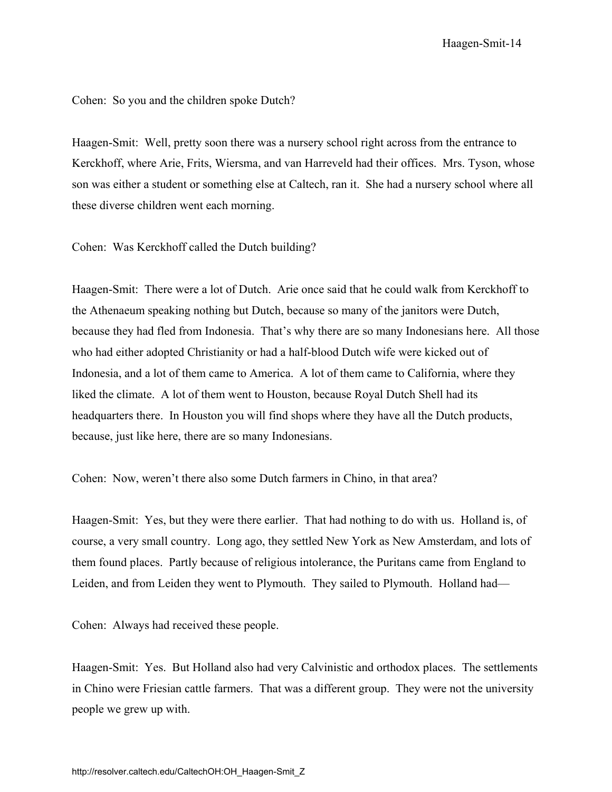Cohen: So you and the children spoke Dutch?

Haagen-Smit: Well, pretty soon there was a nursery school right across from the entrance to Kerckhoff, where Arie, Frits, Wiersma, and van Harreveld had their offices. Mrs. Tyson, whose son was either a student or something else at Caltech, ran it. She had a nursery school where all these diverse children went each morning.

Cohen: Was Kerckhoff called the Dutch building?

Haagen-Smit: There were a lot of Dutch. Arie once said that he could walk from Kerckhoff to the Athenaeum speaking nothing but Dutch, because so many of the janitors were Dutch, because they had fled from Indonesia. That's why there are so many Indonesians here. All those who had either adopted Christianity or had a half-blood Dutch wife were kicked out of Indonesia, and a lot of them came to America. A lot of them came to California, where they liked the climate. A lot of them went to Houston, because Royal Dutch Shell had its headquarters there. In Houston you will find shops where they have all the Dutch products, because, just like here, there are so many Indonesians.

Cohen: Now, weren't there also some Dutch farmers in Chino, in that area?

Haagen-Smit: Yes, but they were there earlier. That had nothing to do with us. Holland is, of course, a very small country. Long ago, they settled New York as New Amsterdam, and lots of them found places. Partly because of religious intolerance, the Puritans came from England to Leiden, and from Leiden they went to Plymouth. They sailed to Plymouth. Holland had—

Cohen: Always had received these people.

Haagen-Smit: Yes. But Holland also had very Calvinistic and orthodox places. The settlements in Chino were Friesian cattle farmers. That was a different group. They were not the university people we grew up with.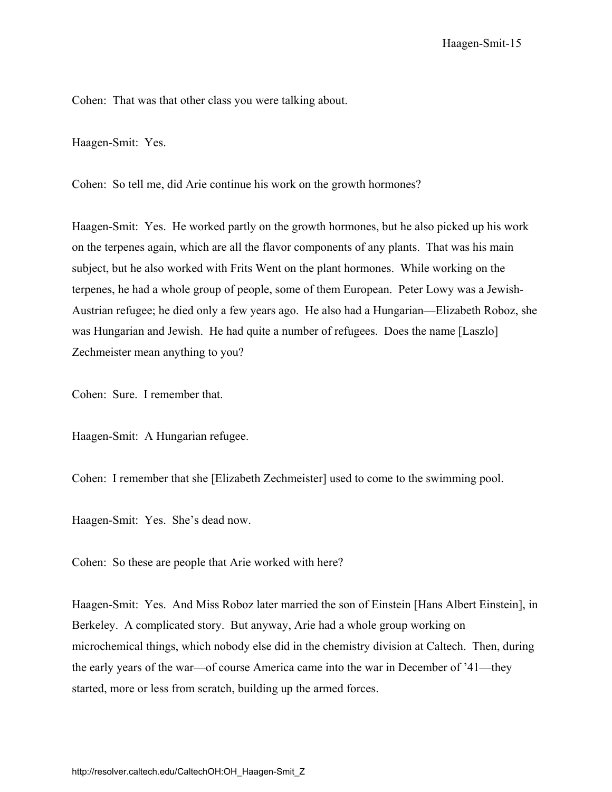Cohen: That was that other class you were talking about.

Haagen-Smit: Yes.

Cohen: So tell me, did Arie continue his work on the growth hormones?

Haagen-Smit: Yes. He worked partly on the growth hormones, but he also picked up his work on the terpenes again, which are all the flavor components of any plants. That was his main subject, but he also worked with Frits Went on the plant hormones. While working on the terpenes, he had a whole group of people, some of them European. Peter Lowy was a Jewish-Austrian refugee; he died only a few years ago. He also had a Hungarian—Elizabeth Roboz, she was Hungarian and Jewish. He had quite a number of refugees. Does the name [Laszlo] Zechmeister mean anything to you?

Cohen: Sure. I remember that.

Haagen-Smit: A Hungarian refugee.

Cohen: I remember that she [Elizabeth Zechmeister] used to come to the swimming pool.

Haagen-Smit: Yes. She's dead now.

Cohen: So these are people that Arie worked with here?

Haagen-Smit: Yes. And Miss Roboz later married the son of Einstein [Hans Albert Einstein], in Berkeley. A complicated story. But anyway, Arie had a whole group working on microchemical things, which nobody else did in the chemistry division at Caltech. Then, during the early years of the war—of course America came into the war in December of '41—they started, more or less from scratch, building up the armed forces.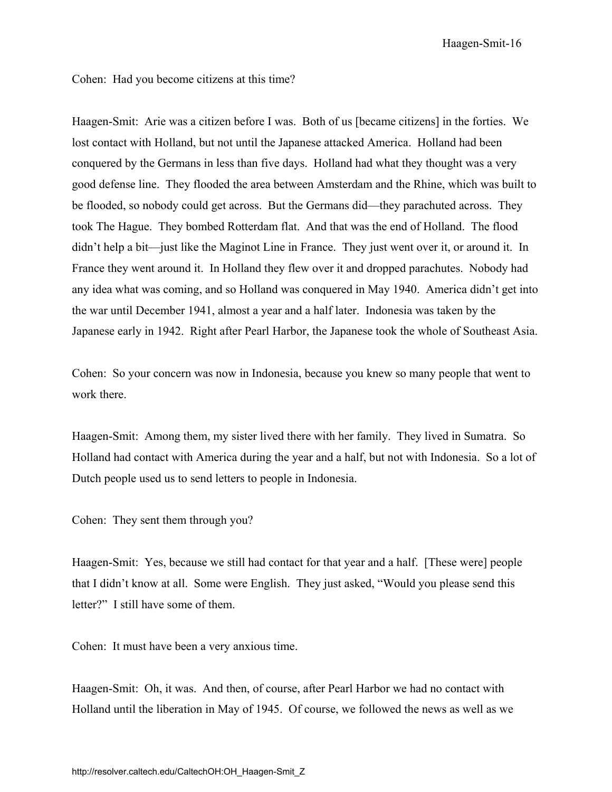Haagen-Smit-16

Cohen: Had you become citizens at this time?

Haagen-Smit: Arie was a citizen before I was. Both of us [became citizens] in the forties. We lost contact with Holland, but not until the Japanese attacked America. Holland had been conquered by the Germans in less than five days. Holland had what they thought was a very good defense line. They flooded the area between Amsterdam and the Rhine, which was built to be flooded, so nobody could get across. But the Germans did—they parachuted across. They took The Hague. They bombed Rotterdam flat. And that was the end of Holland. The flood didn't help a bit—just like the Maginot Line in France. They just went over it, or around it. In France they went around it. In Holland they flew over it and dropped parachutes. Nobody had any idea what was coming, and so Holland was conquered in May 1940. America didn't get into the war until December 1941, almost a year and a half later. Indonesia was taken by the Japanese early in 1942. Right after Pearl Harbor, the Japanese took the whole of Southeast Asia.

Cohen: So your concern was now in Indonesia, because you knew so many people that went to work there.

Haagen-Smit: Among them, my sister lived there with her family. They lived in Sumatra. So Holland had contact with America during the year and a half, but not with Indonesia. So a lot of Dutch people used us to send letters to people in Indonesia.

Cohen: They sent them through you?

Haagen-Smit: Yes, because we still had contact for that year and a half. [These were] people that I didn't know at all. Some were English. They just asked, "Would you please send this letter?" I still have some of them.

Cohen: It must have been a very anxious time.

Haagen-Smit: Oh, it was. And then, of course, after Pearl Harbor we had no contact with Holland until the liberation in May of 1945. Of course, we followed the news as well as we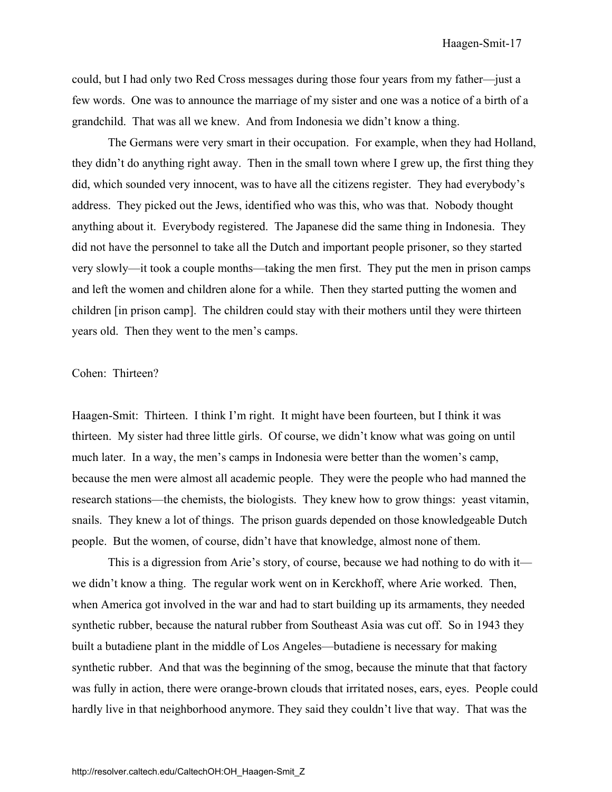could, but I had only two Red Cross messages during those four years from my father—just a few words. One was to announce the marriage of my sister and one was a notice of a birth of a grandchild. That was all we knew. And from Indonesia we didn't know a thing.

The Germans were very smart in their occupation. For example, when they had Holland, they didn't do anything right away. Then in the small town where I grew up, the first thing they did, which sounded very innocent, was to have all the citizens register. They had everybody's address. They picked out the Jews, identified who was this, who was that. Nobody thought anything about it. Everybody registered. The Japanese did the same thing in Indonesia. They did not have the personnel to take all the Dutch and important people prisoner, so they started very slowly—it took a couple months—taking the men first. They put the men in prison camps and left the women and children alone for a while. Then they started putting the women and children [in prison camp]. The children could stay with their mothers until they were thirteen years old. Then they went to the men's camps.

#### Cohen: Thirteen?

Haagen-Smit: Thirteen. I think I'm right. It might have been fourteen, but I think it was thirteen. My sister had three little girls. Of course, we didn't know what was going on until much later. In a way, the men's camps in Indonesia were better than the women's camp, because the men were almost all academic people. They were the people who had manned the research stations—the chemists, the biologists. They knew how to grow things: yeast vitamin, snails. They knew a lot of things. The prison guards depended on those knowledgeable Dutch people. But the women, of course, didn't have that knowledge, almost none of them.

This is a digression from Arie's story, of course, because we had nothing to do with it we didn't know a thing. The regular work went on in Kerckhoff, where Arie worked. Then, when America got involved in the war and had to start building up its armaments, they needed synthetic rubber, because the natural rubber from Southeast Asia was cut off. So in 1943 they built a butadiene plant in the middle of Los Angeles—butadiene is necessary for making synthetic rubber. And that was the beginning of the smog, because the minute that that factory was fully in action, there were orange-brown clouds that irritated noses, ears, eyes. People could hardly live in that neighborhood anymore. They said they couldn't live that way. That was the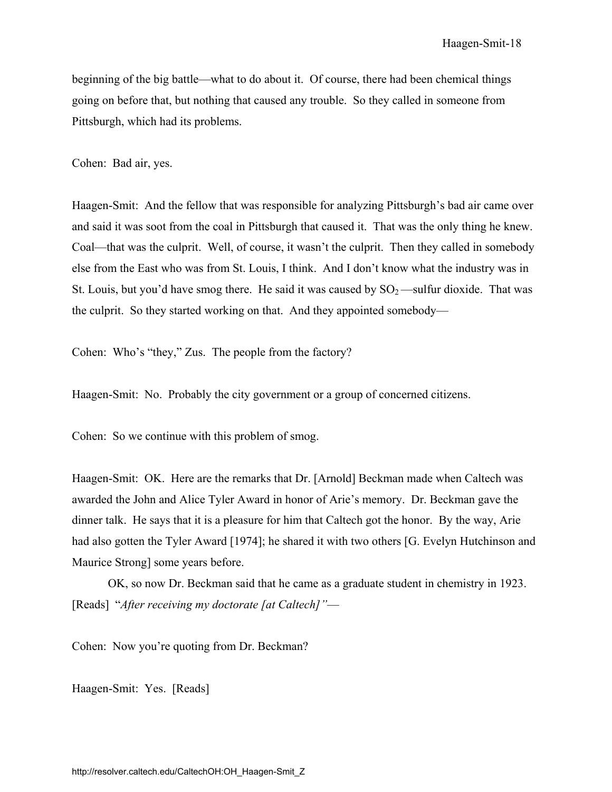beginning of the big battle—what to do about it. Of course, there had been chemical things going on before that, but nothing that caused any trouble. So they called in someone from Pittsburgh, which had its problems.

Cohen: Bad air, yes.

Haagen-Smit: And the fellow that was responsible for analyzing Pittsburgh's bad air came over and said it was soot from the coal in Pittsburgh that caused it. That was the only thing he knew. Coal—that was the culprit. Well, of course, it wasn't the culprit. Then they called in somebody else from the East who was from St. Louis, I think. And I don't know what the industry was in St. Louis, but you'd have smog there. He said it was caused by  $SO_2$ —sulfur dioxide. That was the culprit. So they started working on that. And they appointed somebody—

Cohen: Who's "they," Zus. The people from the factory?

Haagen-Smit: No. Probably the city government or a group of concerned citizens.

Cohen: So we continue with this problem of smog.

Haagen-Smit: OK. Here are the remarks that Dr. [Arnold] Beckman made when Caltech was awarded the John and Alice Tyler Award in honor of Arie's memory. Dr. Beckman gave the dinner talk. He says that it is a pleasure for him that Caltech got the honor. By the way, Arie had also gotten the Tyler Award [1974]; he shared it with two others [G. Evelyn Hutchinson and Maurice Strong] some years before.

OK, so now Dr. Beckman said that he came as a graduate student in chemistry in 1923. [Reads] "*After receiving my doctorate [at Caltech]"*—

Cohen: Now you're quoting from Dr. Beckman?

Haagen-Smit: Yes. [Reads]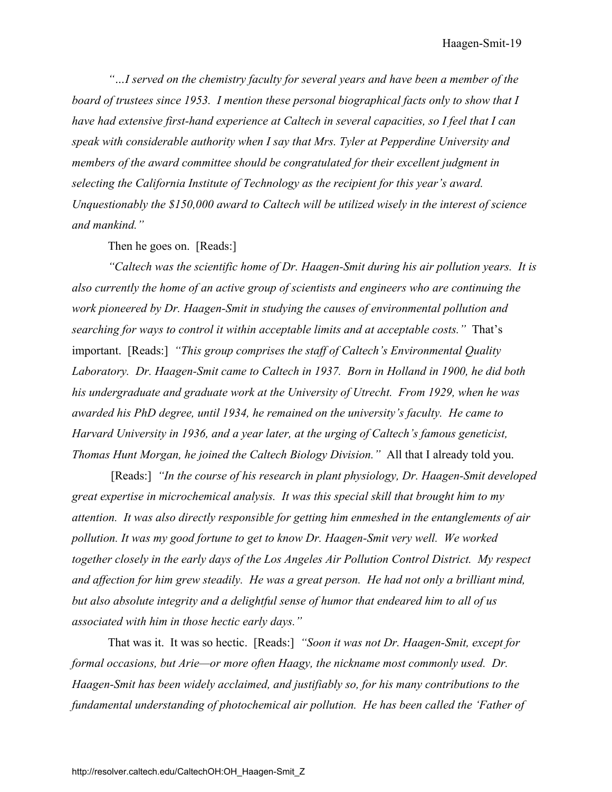*"…I served on the chemistry faculty for several years and have been a member of the board of trustees since 1953. I mention these personal biographical facts only to show that I have had extensive first-hand experience at Caltech in several capacities, so I feel that I can speak with considerable authority when I say that Mrs. Tyler at Pepperdine University and members of the award committee should be congratulated for their excellent judgment in selecting the California Institute of Technology as the recipient for this year's award. Unquestionably the \$150,000 award to Caltech will be utilized wisely in the interest of science and mankind."* 

Then he goes on. [Reads:]

*"Caltech was the scientific home of Dr. Haagen-Smit during his air pollution years. It is also currently the home of an active group of scientists and engineers who are continuing the work pioneered by Dr. Haagen-Smit in studying the causes of environmental pollution and searching for ways to control it within acceptable limits and at acceptable costs."* That's important. [Reads:] *"This group comprises the staff of Caltech's Environmental Quality Laboratory. Dr. Haagen-Smit came to Caltech in 1937. Born in Holland in 1900, he did both his undergraduate and graduate work at the University of Utrecht. From 1929, when he was awarded his PhD degree, until 1934, he remained on the university's faculty. He came to Harvard University in 1936, and a year later, at the urging of Caltech's famous geneticist, Thomas Hunt Morgan, he joined the Caltech Biology Division."* All that I already told you.

 [Reads:] *"In the course of his research in plant physiology, Dr. Haagen-Smit developed great expertise in microchemical analysis. It was this special skill that brought him to my attention. It was also directly responsible for getting him enmeshed in the entanglements of air pollution. It was my good fortune to get to know Dr. Haagen-Smit very well. We worked together closely in the early days of the Los Angeles Air Pollution Control District. My respect and affection for him grew steadily. He was a great person. He had not only a brilliant mind, but also absolute integrity and a delightful sense of humor that endeared him to all of us associated with him in those hectic early days."* 

That was it. It was so hectic. [Reads:] *"Soon it was not Dr. Haagen-Smit, except for formal occasions, but Arie—or more often Haagy, the nickname most commonly used. Dr. Haagen-Smit has been widely acclaimed, and justifiably so, for his many contributions to the fundamental understanding of photochemical air pollution. He has been called the 'Father of*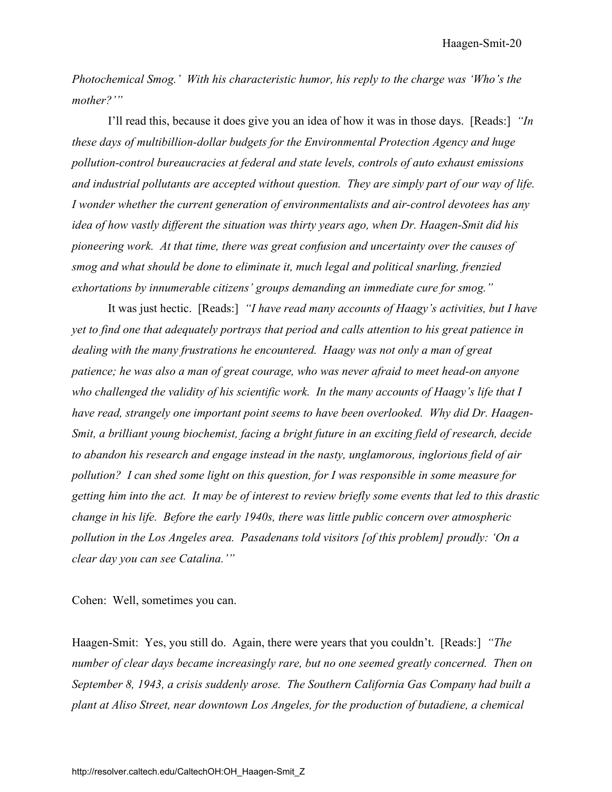*Photochemical Smog.' With his characteristic humor, his reply to the charge was 'Who's the mother?'"* 

I'll read this, because it does give you an idea of how it was in those days. [Reads:] *"In these days of multibillion-dollar budgets for the Environmental Protection Agency and huge pollution-control bureaucracies at federal and state levels, controls of auto exhaust emissions and industrial pollutants are accepted without question. They are simply part of our way of life. I wonder whether the current generation of environmentalists and air-control devotees has any idea of how vastly different the situation was thirty years ago, when Dr. Haagen-Smit did his pioneering work. At that time, there was great confusion and uncertainty over the causes of smog and what should be done to eliminate it, much legal and political snarling, frenzied exhortations by innumerable citizens' groups demanding an immediate cure for smog."* 

It was just hectic. [Reads:] *"I have read many accounts of Haagy's activities, but I have yet to find one that adequately portrays that period and calls attention to his great patience in dealing with the many frustrations he encountered. Haagy was not only a man of great patience; he was also a man of great courage, who was never afraid to meet head-on anyone who challenged the validity of his scientific work. In the many accounts of Haagy's life that I have read, strangely one important point seems to have been overlooked. Why did Dr. Haagen-Smit, a brilliant young biochemist, facing a bright future in an exciting field of research, decide to abandon his research and engage instead in the nasty, unglamorous, inglorious field of air pollution? I can shed some light on this question, for I was responsible in some measure for getting him into the act. It may be of interest to review briefly some events that led to this drastic change in his life. Before the early 1940s, there was little public concern over atmospheric pollution in the Los Angeles area. Pasadenans told visitors [of this problem] proudly: 'On a clear day you can see Catalina.'"* 

Cohen: Well, sometimes you can.

Haagen-Smit: Yes, you still do. Again, there were years that you couldn't. [Reads:] *"The number of clear days became increasingly rare, but no one seemed greatly concerned. Then on September 8, 1943, a crisis suddenly arose. The Southern California Gas Company had built a plant at Aliso Street, near downtown Los Angeles, for the production of butadiene, a chemical*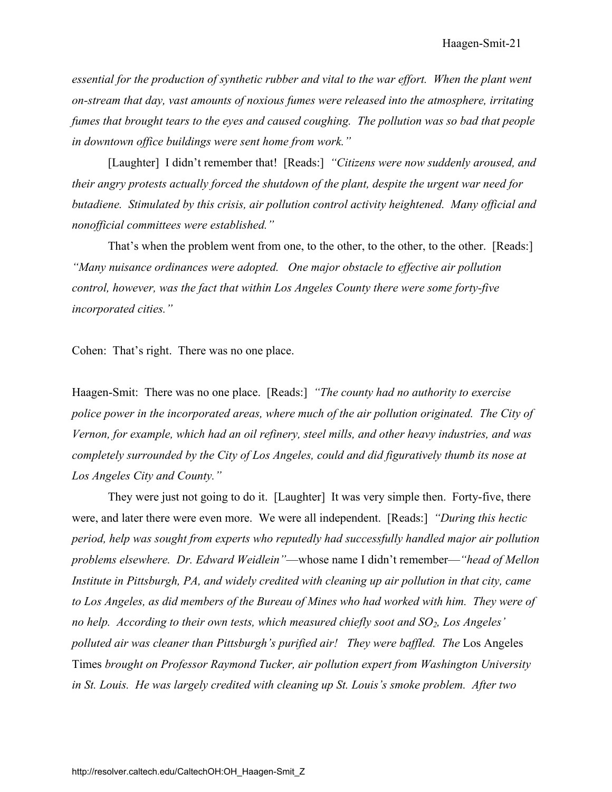*essential for the production of synthetic rubber and vital to the war effort. When the plant went on-stream that day, vast amounts of noxious fumes were released into the atmosphere, irritating fumes that brought tears to the eyes and caused coughing. The pollution was so bad that people in downtown office buildings were sent home from work."* 

[Laughter] I didn't remember that! [Reads:] *"Citizens were now suddenly aroused, and their angry protests actually forced the shutdown of the plant, despite the urgent war need for butadiene. Stimulated by this crisis, air pollution control activity heightened. Many official and nonofficial committees were established."* 

That's when the problem went from one, to the other, to the other, to the other. [Reads:] *"Many nuisance ordinances were adopted. One major obstacle to effective air pollution control, however, was the fact that within Los Angeles County there were some forty-five incorporated cities."* 

Cohen: That's right. There was no one place.

Haagen-Smit: There was no one place. [Reads:] *"The county had no authority to exercise*  police power in the incorporated areas, where much of the air pollution originated. The City of *Vernon, for example, which had an oil refinery, steel mills, and other heavy industries, and was completely surrounded by the City of Los Angeles, could and did figuratively thumb its nose at Los Angeles City and County."* 

They were just not going to do it. [Laughter] It was very simple then. Forty-five, there were, and later there were even more. We were all independent. [Reads:] *"During this hectic period, help was sought from experts who reputedly had successfully handled major air pollution problems elsewhere. Dr. Edward Weidlein"*—whose name I didn't remember—*"head of Mellon Institute in Pittsburgh, PA, and widely credited with cleaning up air pollution in that city, came to Los Angeles, as did members of the Bureau of Mines who had worked with him. They were of*  no help. According to their own tests, which measured chiefly soot and SO<sub>2</sub>, Los Angeles' polluted air was cleaner than Pittsburgh's purified air! They were baffled. The Los Angeles Times *brought on Professor Raymond Tucker, air pollution expert from Washington University in St. Louis. He was largely credited with cleaning up St. Louis's smoke problem. After two*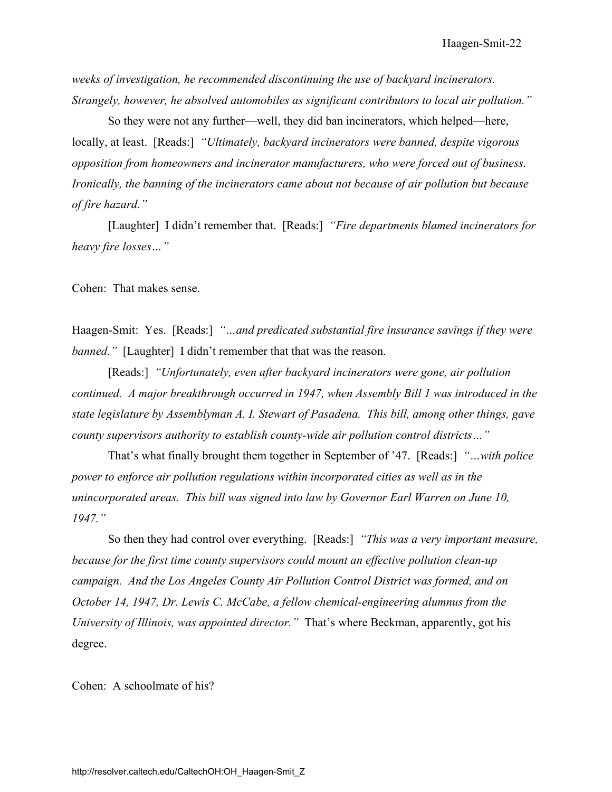*weeks of investigation, he recommended discontinuing the use of backyard incinerators. Strangely, however, he absolved automobiles as significant contributors to local air pollution."* 

So they were not any further—well, they did ban incinerators, which helped—here, locally, at least. [Reads:] *"Ultimately, backyard incinerators were banned, despite vigorous opposition from homeowners and incinerator manufacturers, who were forced out of business. Ironically, the banning of the incinerators came about not because of air pollution but because of fire hazard."* 

[Laughter] I didn't remember that. [Reads:] *"Fire departments blamed incinerators for heavy fire losses…"* 

Cohen: That makes sense.

Haagen-Smit: Yes. [Reads:] *"…and predicated substantial fire insurance savings if they were banned.*" [Laughter] I didn't remember that that was the reason.

[Reads:] *"Unfortunately, even after backyard incinerators were gone, air pollution continued. A major breakthrough occurred in 1947, when Assembly Bill 1 was introduced in the state legislature by Assemblyman A. I. Stewart of Pasadena. This bill, among other things, gave county supervisors authority to establish county-wide air pollution control districts…"* 

That's what finally brought them together in September of '47. [Reads:] *"…with police power to enforce air pollution regulations within incorporated cities as well as in the unincorporated areas. This bill was signed into law by Governor Earl Warren on June 10, 1947."* 

So then they had control over everything. [Reads:] *"This was a very important measure, because for the first time county supervisors could mount an effective pollution clean-up campaign. And the Los Angeles County Air Pollution Control District was formed, and on October 14, 1947, Dr. Lewis C. McCabe, a fellow chemical-engineering alumnus from the University of Illinois, was appointed director."* That's where Beckman, apparently, got his degree.

Cohen: A schoolmate of his?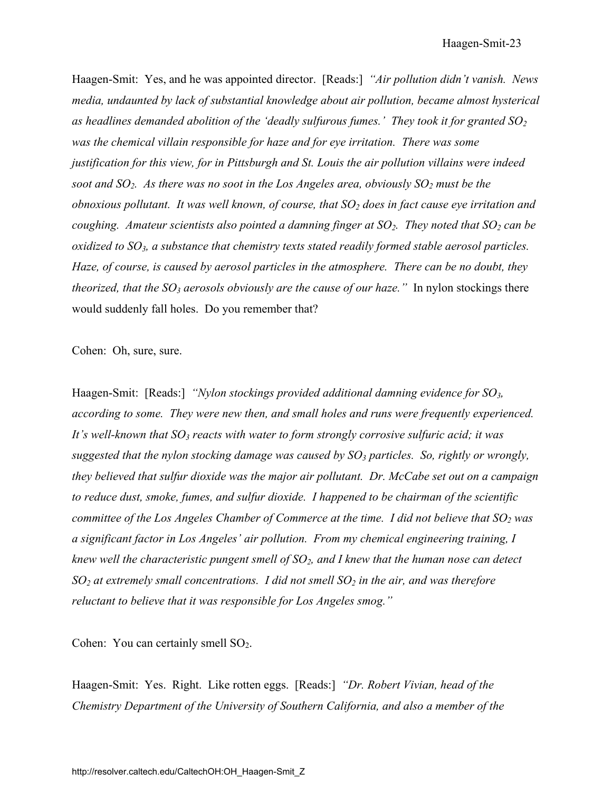Haagen-Smit: Yes, and he was appointed director. [Reads:] *"Air pollution didn't vanish. News media, undaunted by lack of substantial knowledge about air pollution, became almost hysterical*  ded as headlines demanded abolition of the 'deadly sulfurous fumes.' They took it for granted  $SO_2$ *was the chemical villain responsible for haze and for eye irritation. There was some justification for this view, for in Pittsburgh and St. Louis the air pollution villains were indeed soot and SO<sub>2</sub>. As there was no soot in the Los Angeles area, obviously SO<sub>2</sub> must be the obnoxious pollutant. It was well known, of course, that SO<sub>2</sub> does in fact cause eye irritation and coughing. Amateur scientists also pointed a damning finger at SO<sub>2</sub>. They noted that SO<sub>2</sub> can be oxidized to SO3, a substance that chemistry texts stated readily formed stable aerosol particles. Haze, of course, is caused by aerosol particles in the atmosphere. There can be no doubt, they theorized, that the SO<sub>3</sub> aerosols obviously are the cause of our haze.*" In nylon stockings there would suddenly fall holes. Do you remember that?

Cohen: Oh, sure, sure.

Haagen-Smit: [Reads:] *"Nylon stockings provided additional damning evidence for SO3, according to some. They were new then, and small holes and runs were frequently experienced.*  It's well-known that SO<sub>3</sub> reacts with water to form strongly corrosive sulfuric acid; it was *suggested that the nylon stocking damage was caused by SO3 particles. So, rightly or wrongly, they believed that sulfur dioxide was the major air pollutant. Dr. McCabe set out on a campaign to reduce dust, smoke, fumes, and sulfur dioxide. I happened to be chairman of the scientific committee of the Los Angeles Chamber of Commerce at the time. I did not believe that SO<sub>2</sub> was a significant factor in Los Angeles' air pollution. From my chemical engineering training, I knew well the characteristic pungent smell of SO2, and I knew that the human nose can detect SO<sub>2</sub>* at extremely small concentrations. I did not smell SO<sub>2</sub> in the air, and was therefore *reluctant to believe that it was responsible for Los Angeles smog."* 

Cohen: You can certainly smell  $SO<sub>2</sub>$ .

Haagen-Smit: Yes. Right. Like rotten eggs. [Reads:] *"Dr. Robert Vivian, head of the Chemistry Department of the University of Southern California, and also a member of the*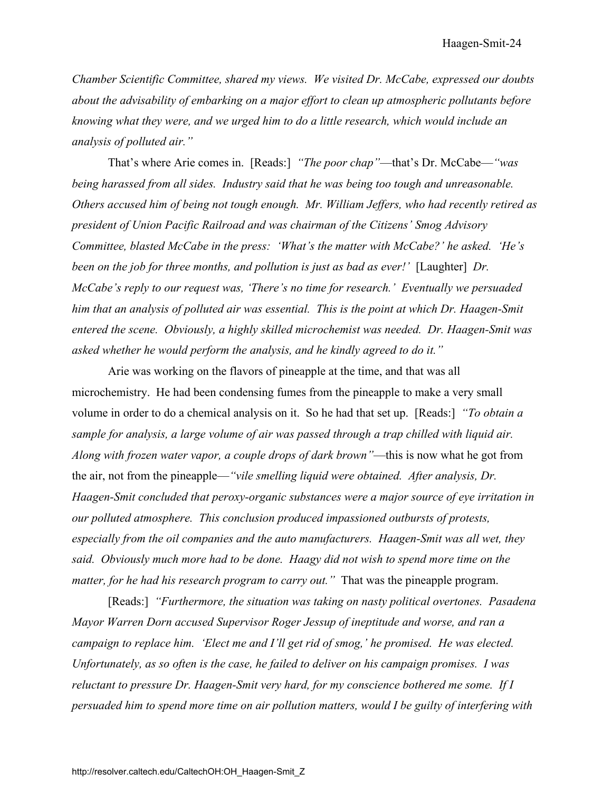*Chamber Scientific Committee, shared my views. We visited Dr. McCabe, expressed our doubts about the advisability of embarking on a major effort to clean up atmospheric pollutants before knowing what they were, and we urged him to do a little research, which would include an analysis of polluted air."* 

That's where Arie comes in. [Reads:] *"The poor chap"*—that's Dr. McCabe—*"was being harassed from all sides. Industry said that he was being too tough and unreasonable. Others accused him of being not tough enough. Mr. William Jeffers, who had recently retired as president of Union Pacific Railroad and was chairman of the Citizens' Smog Advisory Committee, blasted McCabe in the press: 'What's the matter with McCabe?' he asked. 'He's been on the job for three months, and pollution is just as bad as ever!'* [Laughter] *Dr. McCabe's reply to our request was, 'There's no time for research.' Eventually we persuaded him that an analysis of polluted air was essential. This is the point at which Dr. Haagen-Smit entered the scene. Obviously, a highly skilled microchemist was needed. Dr. Haagen-Smit was asked whether he would perform the analysis, and he kindly agreed to do it."* 

Arie was working on the flavors of pineapple at the time, and that was all microchemistry. He had been condensing fumes from the pineapple to make a very small volume in order to do a chemical analysis on it. So he had that set up. [Reads:] *"To obtain a sample for analysis, a large volume of air was passed through a trap chilled with liquid air. Along with frozen water vapor, a couple drops of dark brown"*—this is now what he got from the air, not from the pineapple—*"vile smelling liquid were obtained. After analysis, Dr. Haagen-Smit concluded that peroxy-organic substances were a major source of eye irritation in our polluted atmosphere. This conclusion produced impassioned outbursts of protests, especially from the oil companies and the auto manufacturers. Haagen-Smit was all wet, they said. Obviously much more had to be done. Haagy did not wish to spend more time on the matter, for he had his research program to carry out.*" That was the pineapple program.

[Reads:] *"Furthermore, the situation was taking on nasty political overtones. Pasadena Mayor Warren Dorn accused Supervisor Roger Jessup of ineptitude and worse, and ran a campaign to replace him. 'Elect me and I'll get rid of smog,' he promised. He was elected. Unfortunately, as so often is the case, he failed to deliver on his campaign promises. I was reluctant to pressure Dr. Haagen-Smit very hard, for my conscience bothered me some. If I persuaded him to spend more time on air pollution matters, would I be guilty of interfering with*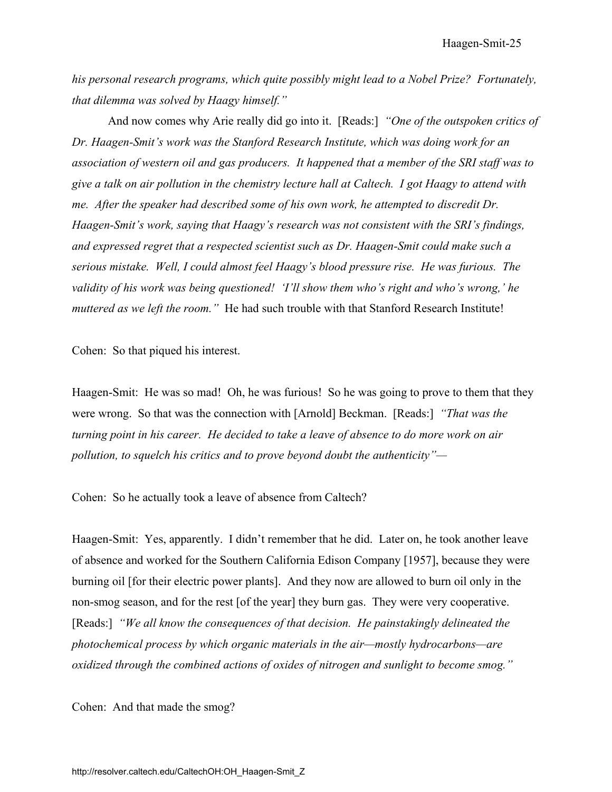*his personal research programs, which quite possibly might lead to a Nobel Prize? Fortunately, that dilemma was solved by Haagy himself."* 

And now comes why Arie really did go into it. [Reads:] *"One of the outspoken critics of Dr. Haagen-Smit's work was the Stanford Research Institute, which was doing work for an association of western oil and gas producers. It happened that a member of the SRI staff was to give a talk on air pollution in the chemistry lecture hall at Caltech. I got Haagy to attend with me. After the speaker had described some of his own work, he attempted to discredit Dr. Haagen-Smit's work, saying that Haagy's research was not consistent with the SRI's findings, and expressed regret that a respected scientist such as Dr. Haagen-Smit could make such a serious mistake. Well, I could almost feel Haagy's blood pressure rise. He was furious. The validity of his work was being questioned! 'I'll show them who's right and who's wrong,' he muttered as we left the room."* He had such trouble with that Stanford Research Institute!

Cohen: So that piqued his interest.

Haagen-Smit: He was so mad! Oh, he was furious! So he was going to prove to them that they were wrong. So that was the connection with [Arnold] Beckman. [Reads:] *"That was the turning point in his career. He decided to take a leave of absence to do more work on air pollution, to squelch his critics and to prove beyond doubt the authenticity"—* 

Cohen: So he actually took a leave of absence from Caltech?

Haagen-Smit: Yes, apparently. I didn't remember that he did. Later on, he took another leave of absence and worked for the Southern California Edison Company [1957], because they were burning oil [for their electric power plants]. And they now are allowed to burn oil only in the non-smog season, and for the rest [of the year] they burn gas. They were very cooperative. [Reads:] *"We all know the consequences of that decision. He painstakingly delineated the photochemical process by which organic materials in the air—mostly hydrocarbons—are oxidized through the combined actions of oxides of nitrogen and sunlight to become smog."* 

Cohen: And that made the smog?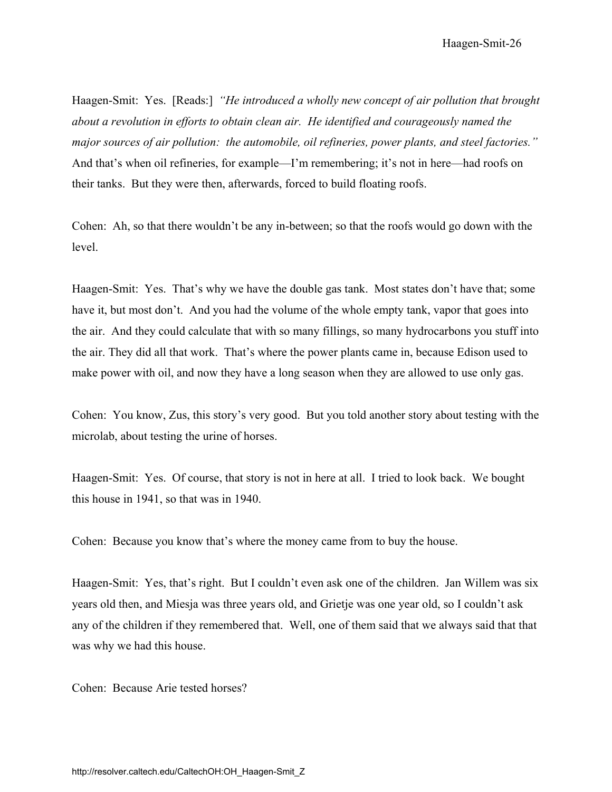Haagen-Smit-26

Haagen-Smit: Yes. [Reads:] *"He introduced a wholly new concept of air pollution that brought about a revolution in efforts to obtain clean air. He identified and courageously named the major sources of air pollution: the automobile, oil refineries, power plants, and steel factories."*  And that's when oil refineries, for example—I'm remembering; it's not in here—had roofs on their tanks. But they were then, afterwards, forced to build floating roofs.

Cohen: Ah, so that there wouldn't be any in-between; so that the roofs would go down with the level.

Haagen-Smit: Yes. That's why we have the double gas tank. Most states don't have that; some have it, but most don't. And you had the volume of the whole empty tank, vapor that goes into the air. And they could calculate that with so many fillings, so many hydrocarbons you stuff into the air. They did all that work. That's where the power plants came in, because Edison used to make power with oil, and now they have a long season when they are allowed to use only gas.

Cohen: You know, Zus, this story's very good. But you told another story about testing with the microlab, about testing the urine of horses.

Haagen-Smit: Yes. Of course, that story is not in here at all. I tried to look back. We bought this house in 1941, so that was in 1940.

Cohen: Because you know that's where the money came from to buy the house.

Haagen-Smit: Yes, that's right. But I couldn't even ask one of the children. Jan Willem was six years old then, and Miesja was three years old, and Grietje was one year old, so I couldn't ask any of the children if they remembered that. Well, one of them said that we always said that that was why we had this house.

Cohen: Because Arie tested horses?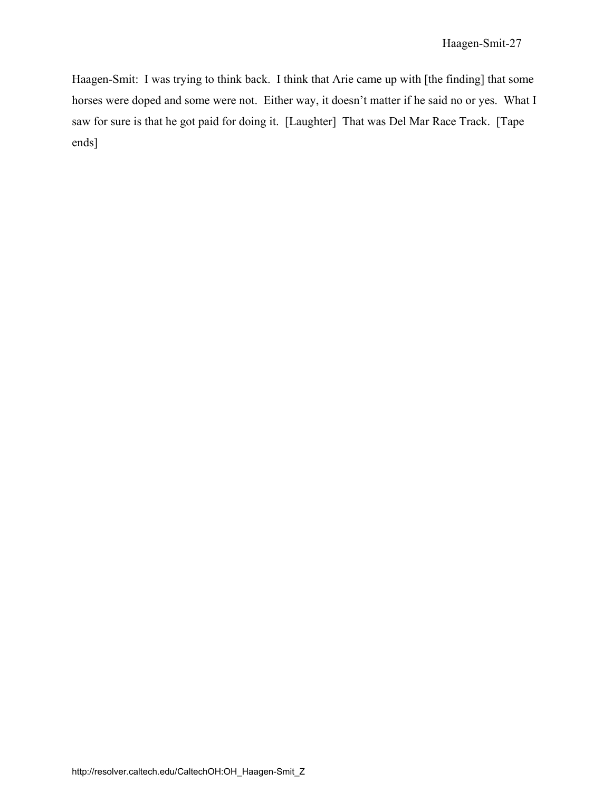Haagen-Smit: I was trying to think back. I think that Arie came up with [the finding] that some horses were doped and some were not. Either way, it doesn't matter if he said no or yes. What I saw for sure is that he got paid for doing it. [Laughter] That was Del Mar Race Track. [Tape ends]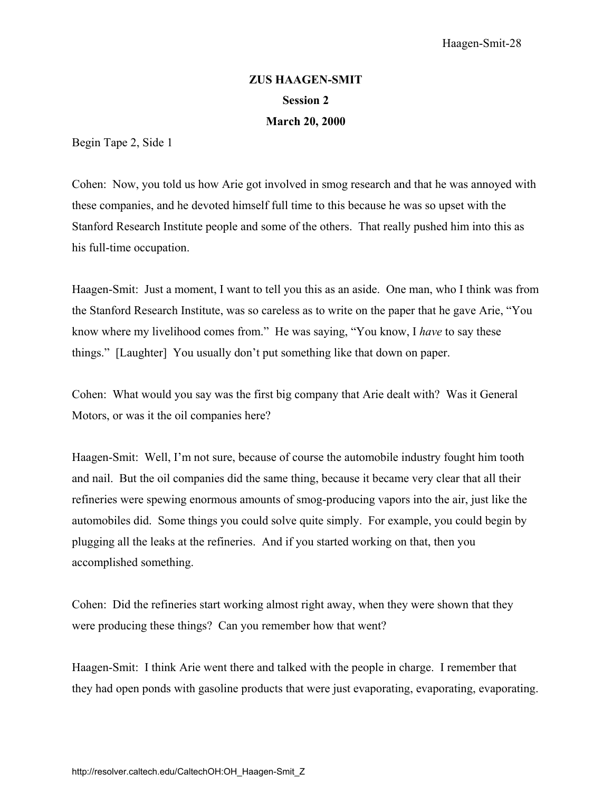# **ZUS HAAGEN-SMIT Session 2 March 20, 2000**

Begin Tape 2, Side 1

Cohen: Now, you told us how Arie got involved in smog research and that he was annoyed with these companies, and he devoted himself full time to this because he was so upset with the Stanford Research Institute people and some of the others. That really pushed him into this as his full-time occupation.

Haagen-Smit: Just a moment, I want to tell you this as an aside. One man, who I think was from the Stanford Research Institute, was so careless as to write on the paper that he gave Arie, "You know where my livelihood comes from." He was saying, "You know, I *have* to say these things." [Laughter] You usually don't put something like that down on paper.

Cohen: What would you say was the first big company that Arie dealt with? Was it General Motors, or was it the oil companies here?

Haagen-Smit: Well, I'm not sure, because of course the automobile industry fought him tooth and nail. But the oil companies did the same thing, because it became very clear that all their refineries were spewing enormous amounts of smog-producing vapors into the air, just like the automobiles did. Some things you could solve quite simply. For example, you could begin by plugging all the leaks at the refineries. And if you started working on that, then you accomplished something.

Cohen: Did the refineries start working almost right away, when they were shown that they were producing these things? Can you remember how that went?

Haagen-Smit: I think Arie went there and talked with the people in charge. I remember that they had open ponds with gasoline products that were just evaporating, evaporating, evaporating.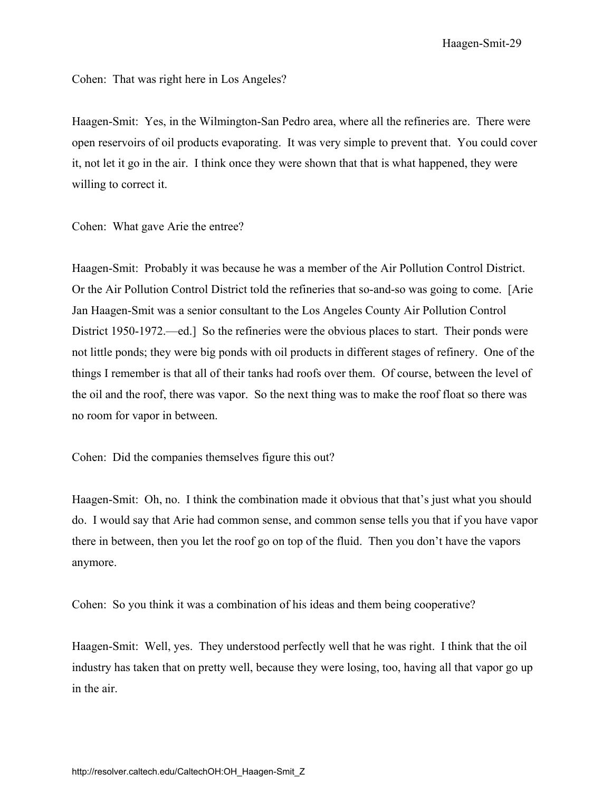Haagen-Smit-29

Cohen: That was right here in Los Angeles?

Haagen-Smit: Yes, in the Wilmington-San Pedro area, where all the refineries are. There were open reservoirs of oil products evaporating. It was very simple to prevent that. You could cover it, not let it go in the air. I think once they were shown that that is what happened, they were willing to correct it.

Cohen: What gave Arie the entree?

Haagen-Smit: Probably it was because he was a member of the Air Pollution Control District. Or the Air Pollution Control District told the refineries that so-and-so was going to come. [Arie Jan Haagen-Smit was a senior consultant to the Los Angeles County Air Pollution Control District 1950-1972.—ed.] So the refineries were the obvious places to start. Their ponds were not little ponds; they were big ponds with oil products in different stages of refinery. One of the things I remember is that all of their tanks had roofs over them. Of course, between the level of the oil and the roof, there was vapor. So the next thing was to make the roof float so there was no room for vapor in between.

Cohen: Did the companies themselves figure this out?

Haagen-Smit: Oh, no. I think the combination made it obvious that that's just what you should do. I would say that Arie had common sense, and common sense tells you that if you have vapor there in between, then you let the roof go on top of the fluid. Then you don't have the vapors anymore.

Cohen: So you think it was a combination of his ideas and them being cooperative?

Haagen-Smit: Well, yes. They understood perfectly well that he was right. I think that the oil industry has taken that on pretty well, because they were losing, too, having all that vapor go up in the air.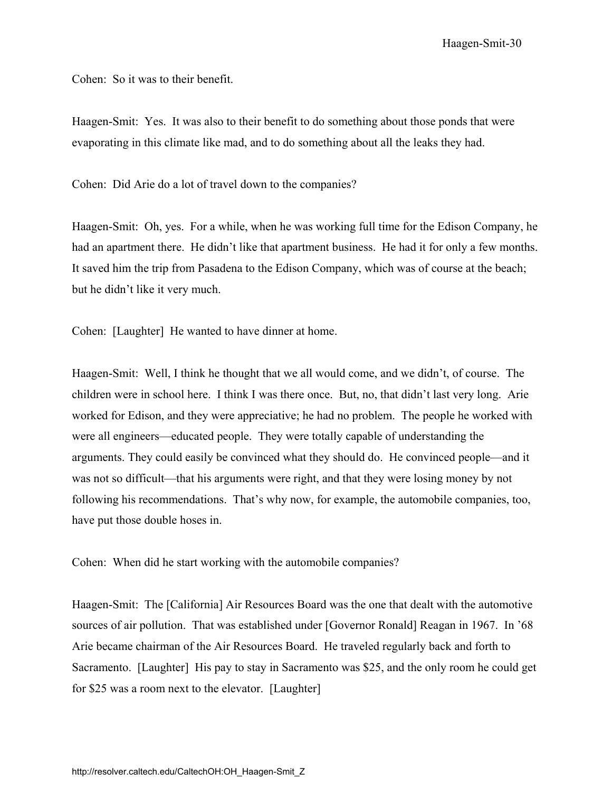Haagen-Smit-30

Cohen: So it was to their benefit.

Haagen-Smit: Yes. It was also to their benefit to do something about those ponds that were evaporating in this climate like mad, and to do something about all the leaks they had.

Cohen: Did Arie do a lot of travel down to the companies?

Haagen-Smit: Oh, yes. For a while, when he was working full time for the Edison Company, he had an apartment there. He didn't like that apartment business. He had it for only a few months. It saved him the trip from Pasadena to the Edison Company, which was of course at the beach; but he didn't like it very much.

Cohen: [Laughter] He wanted to have dinner at home.

Haagen-Smit: Well, I think he thought that we all would come, and we didn't, of course. The children were in school here. I think I was there once. But, no, that didn't last very long. Arie worked for Edison, and they were appreciative; he had no problem. The people he worked with were all engineers—educated people. They were totally capable of understanding the arguments. They could easily be convinced what they should do. He convinced people—and it was not so difficult—that his arguments were right, and that they were losing money by not following his recommendations. That's why now, for example, the automobile companies, too, have put those double hoses in.

Cohen: When did he start working with the automobile companies?

Haagen-Smit: The [California] Air Resources Board was the one that dealt with the automotive sources of air pollution. That was established under [Governor Ronald] Reagan in 1967. In '68 Arie became chairman of the Air Resources Board. He traveled regularly back and forth to Sacramento. [Laughter] His pay to stay in Sacramento was \$25, and the only room he could get for \$25 was a room next to the elevator. [Laughter]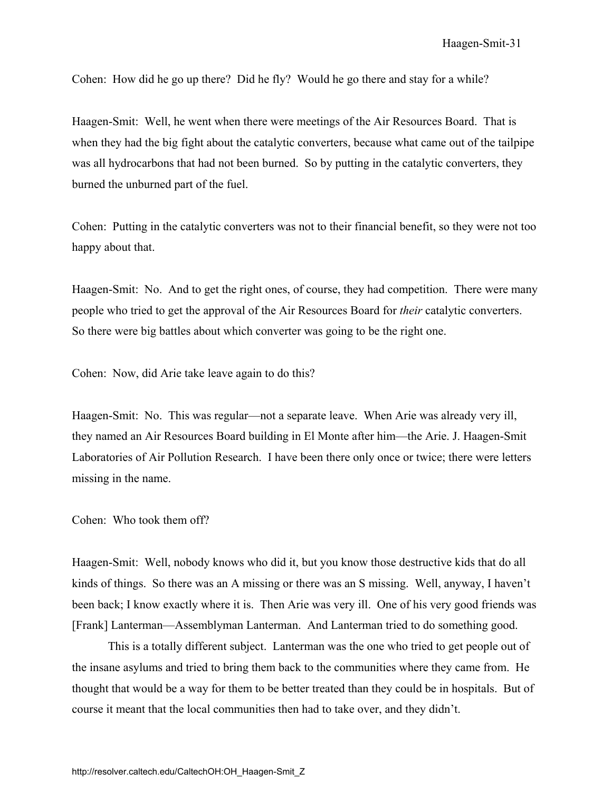Cohen: How did he go up there? Did he fly? Would he go there and stay for a while?

Haagen-Smit: Well, he went when there were meetings of the Air Resources Board. That is when they had the big fight about the catalytic converters, because what came out of the tailpipe was all hydrocarbons that had not been burned. So by putting in the catalytic converters, they burned the unburned part of the fuel.

Cohen: Putting in the catalytic converters was not to their financial benefit, so they were not too happy about that.

Haagen-Smit: No. And to get the right ones, of course, they had competition. There were many people who tried to get the approval of the Air Resources Board for *their* catalytic converters. So there were big battles about which converter was going to be the right one.

Cohen: Now, did Arie take leave again to do this?

Haagen-Smit: No. This was regular—not a separate leave. When Arie was already very ill, they named an Air Resources Board building in El Monte after him—the Arie. J. Haagen-Smit Laboratories of Air Pollution Research. I have been there only once or twice; there were letters missing in the name.

Cohen: Who took them off?

Haagen-Smit: Well, nobody knows who did it, but you know those destructive kids that do all kinds of things. So there was an A missing or there was an S missing. Well, anyway, I haven't been back; I know exactly where it is. Then Arie was very ill. One of his very good friends was [Frank] Lanterman—Assemblyman Lanterman. And Lanterman tried to do something good.

This is a totally different subject. Lanterman was the one who tried to get people out of the insane asylums and tried to bring them back to the communities where they came from. He thought that would be a way for them to be better treated than they could be in hospitals. But of course it meant that the local communities then had to take over, and they didn't.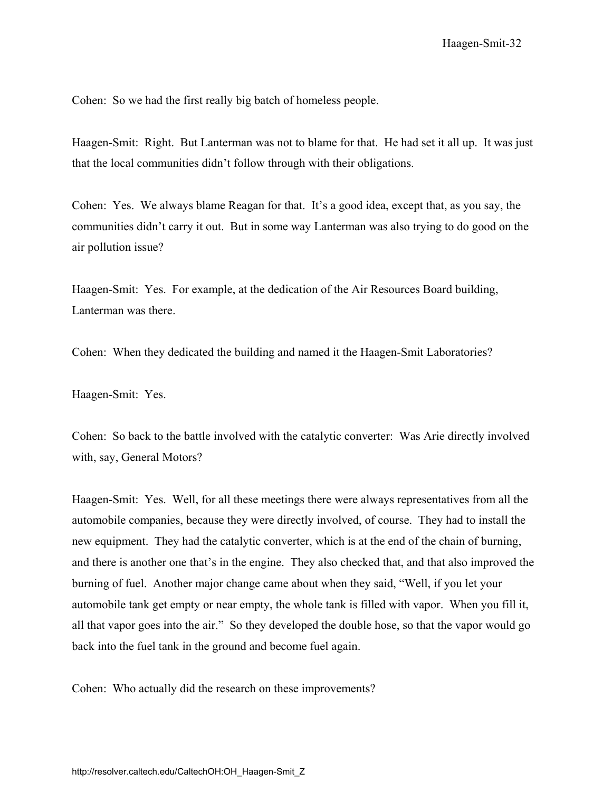Cohen: So we had the first really big batch of homeless people.

Haagen-Smit: Right. But Lanterman was not to blame for that. He had set it all up. It was just that the local communities didn't follow through with their obligations.

Cohen: Yes. We always blame Reagan for that. It's a good idea, except that, as you say, the communities didn't carry it out. But in some way Lanterman was also trying to do good on the air pollution issue?

Haagen-Smit: Yes. For example, at the dedication of the Air Resources Board building, Lanterman was there.

Cohen: When they dedicated the building and named it the Haagen-Smit Laboratories?

Haagen-Smit: Yes.

Cohen: So back to the battle involved with the catalytic converter: Was Arie directly involved with, say, General Motors?

Haagen-Smit: Yes. Well, for all these meetings there were always representatives from all the automobile companies, because they were directly involved, of course. They had to install the new equipment. They had the catalytic converter, which is at the end of the chain of burning, and there is another one that's in the engine. They also checked that, and that also improved the burning of fuel. Another major change came about when they said, "Well, if you let your automobile tank get empty or near empty, the whole tank is filled with vapor. When you fill it, all that vapor goes into the air." So they developed the double hose, so that the vapor would go back into the fuel tank in the ground and become fuel again.

Cohen: Who actually did the research on these improvements?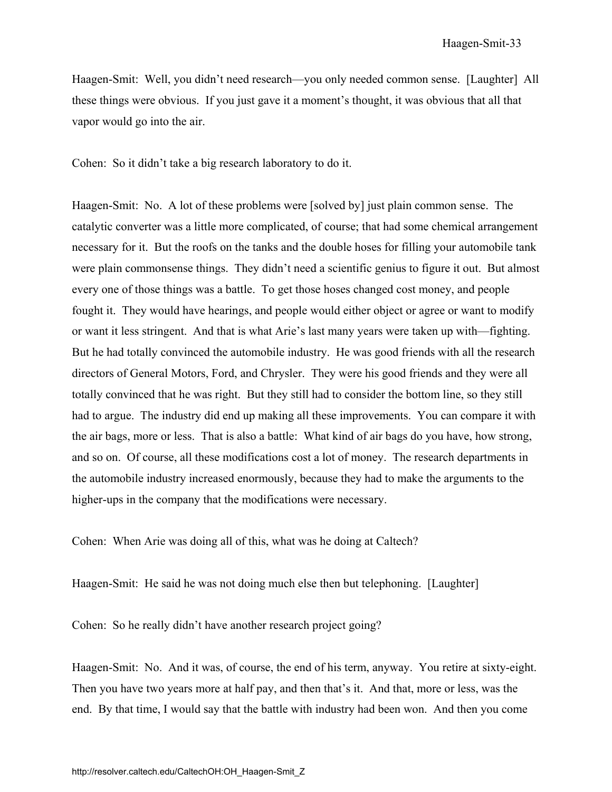Haagen-Smit: Well, you didn't need research—you only needed common sense. [Laughter] All these things were obvious. If you just gave it a moment's thought, it was obvious that all that vapor would go into the air.

Cohen: So it didn't take a big research laboratory to do it.

Haagen-Smit: No. A lot of these problems were [solved by] just plain common sense. The catalytic converter was a little more complicated, of course; that had some chemical arrangement necessary for it. But the roofs on the tanks and the double hoses for filling your automobile tank were plain commonsense things. They didn't need a scientific genius to figure it out. But almost every one of those things was a battle. To get those hoses changed cost money, and people fought it. They would have hearings, and people would either object or agree or want to modify or want it less stringent. And that is what Arie's last many years were taken up with—fighting. But he had totally convinced the automobile industry. He was good friends with all the research directors of General Motors, Ford, and Chrysler. They were his good friends and they were all totally convinced that he was right. But they still had to consider the bottom line, so they still had to argue. The industry did end up making all these improvements. You can compare it with the air bags, more or less. That is also a battle: What kind of air bags do you have, how strong, and so on. Of course, all these modifications cost a lot of money. The research departments in the automobile industry increased enormously, because they had to make the arguments to the higher-ups in the company that the modifications were necessary.

Cohen: When Arie was doing all of this, what was he doing at Caltech?

Haagen-Smit: He said he was not doing much else then but telephoning. [Laughter]

Cohen: So he really didn't have another research project going?

Haagen-Smit: No. And it was, of course, the end of his term, anyway. You retire at sixty-eight. Then you have two years more at half pay, and then that's it. And that, more or less, was the end. By that time, I would say that the battle with industry had been won. And then you come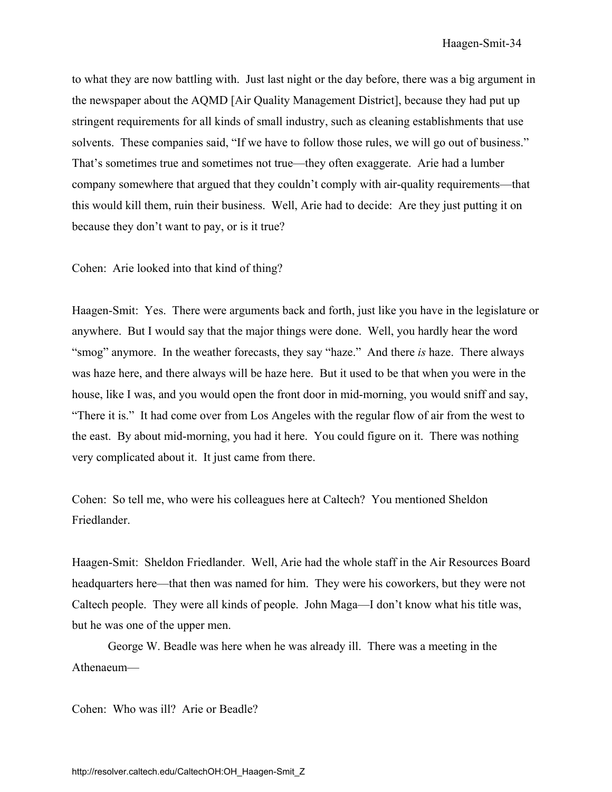to what they are now battling with. Just last night or the day before, there was a big argument in the newspaper about the AQMD [Air Quality Management District], because they had put up stringent requirements for all kinds of small industry, such as cleaning establishments that use solvents. These companies said, "If we have to follow those rules, we will go out of business." That's sometimes true and sometimes not true—they often exaggerate. Arie had a lumber company somewhere that argued that they couldn't comply with air-quality requirements—that this would kill them, ruin their business. Well, Arie had to decide: Are they just putting it on because they don't want to pay, or is it true?

Cohen: Arie looked into that kind of thing?

Haagen-Smit: Yes. There were arguments back and forth, just like you have in the legislature or anywhere. But I would say that the major things were done. Well, you hardly hear the word "smog" anymore. In the weather forecasts, they say "haze." And there *is* haze. There always was haze here, and there always will be haze here. But it used to be that when you were in the house, like I was, and you would open the front door in mid-morning, you would sniff and say, "There it is." It had come over from Los Angeles with the regular flow of air from the west to the east. By about mid-morning, you had it here. You could figure on it. There was nothing very complicated about it. It just came from there.

Cohen: So tell me, who were his colleagues here at Caltech? You mentioned Sheldon Friedlander.

Haagen-Smit: Sheldon Friedlander. Well, Arie had the whole staff in the Air Resources Board headquarters here—that then was named for him. They were his coworkers, but they were not Caltech people. They were all kinds of people. John Maga—I don't know what his title was, but he was one of the upper men.

George W. Beadle was here when he was already ill. There was a meeting in the Athenaeum—

Cohen: Who was ill? Arie or Beadle?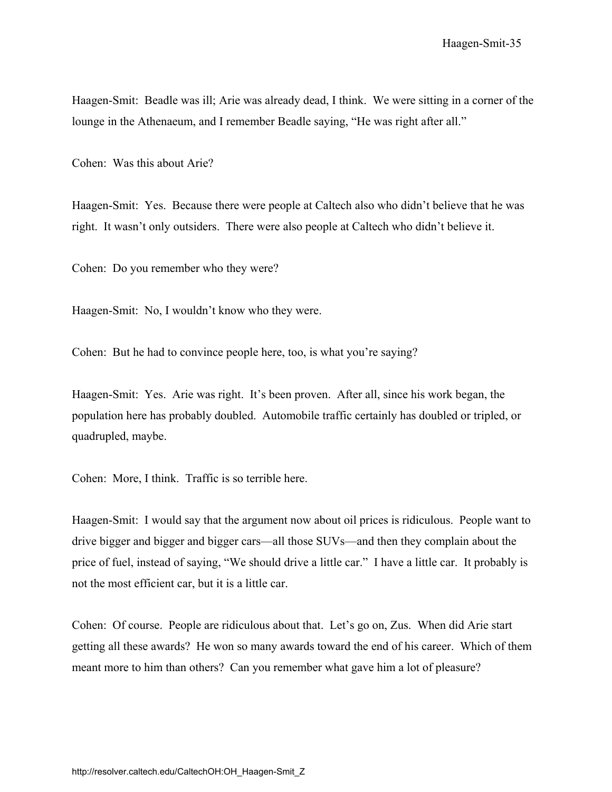Haagen-Smit: Beadle was ill; Arie was already dead, I think. We were sitting in a corner of the lounge in the Athenaeum, and I remember Beadle saying, "He was right after all."

Cohen: Was this about Arie?

Haagen-Smit: Yes. Because there were people at Caltech also who didn't believe that he was right. It wasn't only outsiders. There were also people at Caltech who didn't believe it.

Cohen: Do you remember who they were?

Haagen-Smit: No, I wouldn't know who they were.

Cohen: But he had to convince people here, too, is what you're saying?

Haagen-Smit: Yes. Arie was right. It's been proven. After all, since his work began, the population here has probably doubled. Automobile traffic certainly has doubled or tripled, or quadrupled, maybe.

Cohen: More, I think. Traffic is so terrible here.

Haagen-Smit: I would say that the argument now about oil prices is ridiculous. People want to drive bigger and bigger and bigger cars—all those SUVs—and then they complain about the price of fuel, instead of saying, "We should drive a little car." I have a little car. It probably is not the most efficient car, but it is a little car.

Cohen: Of course. People are ridiculous about that. Let's go on, Zus. When did Arie start getting all these awards? He won so many awards toward the end of his career. Which of them meant more to him than others? Can you remember what gave him a lot of pleasure?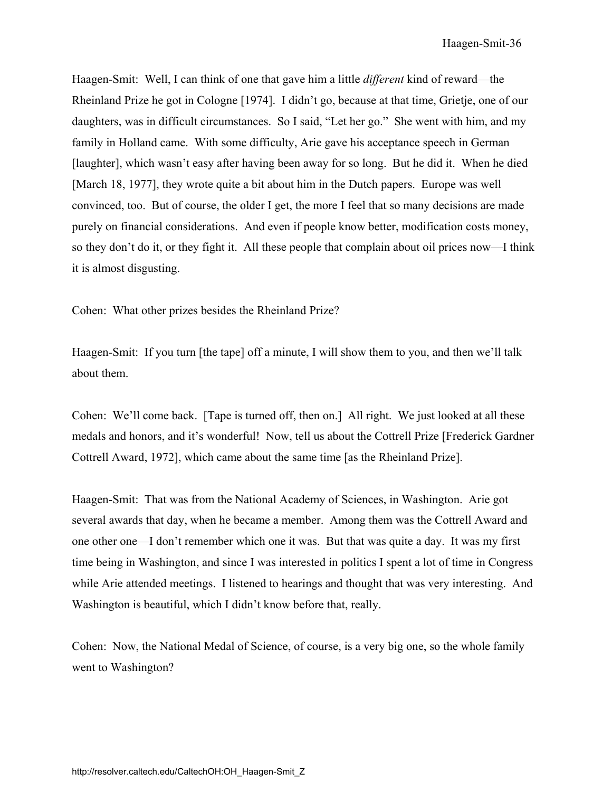Haagen-Smit: Well, I can think of one that gave him a little *different* kind of reward—the Rheinland Prize he got in Cologne [1974]. I didn't go, because at that time, Grietje, one of our daughters, was in difficult circumstances. So I said, "Let her go." She went with him, and my family in Holland came. With some difficulty, Arie gave his acceptance speech in German [laughter], which wasn't easy after having been away for so long. But he did it. When he died [March 18, 1977], they wrote quite a bit about him in the Dutch papers. Europe was well convinced, too. But of course, the older I get, the more I feel that so many decisions are made purely on financial considerations. And even if people know better, modification costs money, so they don't do it, or they fight it. All these people that complain about oil prices now—I think it is almost disgusting.

Cohen: What other prizes besides the Rheinland Prize?

Haagen-Smit: If you turn [the tape] off a minute, I will show them to you, and then we'll talk about them.

Cohen: We'll come back. [Tape is turned off, then on.] All right. We just looked at all these medals and honors, and it's wonderful! Now, tell us about the Cottrell Prize [Frederick Gardner Cottrell Award, 1972], which came about the same time [as the Rheinland Prize].

Haagen-Smit: That was from the National Academy of Sciences, in Washington. Arie got several awards that day, when he became a member. Among them was the Cottrell Award and one other one—I don't remember which one it was. But that was quite a day. It was my first time being in Washington, and since I was interested in politics I spent a lot of time in Congress while Arie attended meetings. I listened to hearings and thought that was very interesting. And Washington is beautiful, which I didn't know before that, really.

Cohen: Now, the National Medal of Science, of course, is a very big one, so the whole family went to Washington?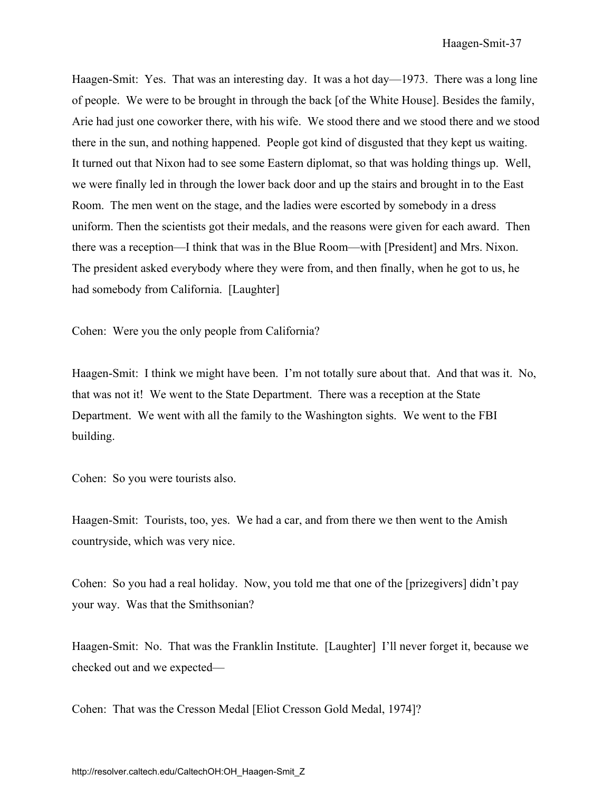Haagen-Smit: Yes. That was an interesting day. It was a hot day—1973. There was a long line of people. We were to be brought in through the back [of the White House]. Besides the family, Arie had just one coworker there, with his wife. We stood there and we stood there and we stood there in the sun, and nothing happened. People got kind of disgusted that they kept us waiting. It turned out that Nixon had to see some Eastern diplomat, so that was holding things up. Well, we were finally led in through the lower back door and up the stairs and brought in to the East Room. The men went on the stage, and the ladies were escorted by somebody in a dress uniform. Then the scientists got their medals, and the reasons were given for each award. Then there was a reception—I think that was in the Blue Room—with [President] and Mrs. Nixon. The president asked everybody where they were from, and then finally, when he got to us, he had somebody from California. [Laughter]

Cohen: Were you the only people from California?

Haagen-Smit: I think we might have been. I'm not totally sure about that. And that was it. No, that was not it! We went to the State Department. There was a reception at the State Department. We went with all the family to the Washington sights. We went to the FBI building.

Cohen: So you were tourists also.

Haagen-Smit: Tourists, too, yes. We had a car, and from there we then went to the Amish countryside, which was very nice.

Cohen: So you had a real holiday. Now, you told me that one of the [prizegivers] didn't pay your way. Was that the Smithsonian?

Haagen-Smit: No. That was the Franklin Institute. [Laughter] I'll never forget it, because we checked out and we expected—

Cohen: That was the Cresson Medal [Eliot Cresson Gold Medal, 1974]?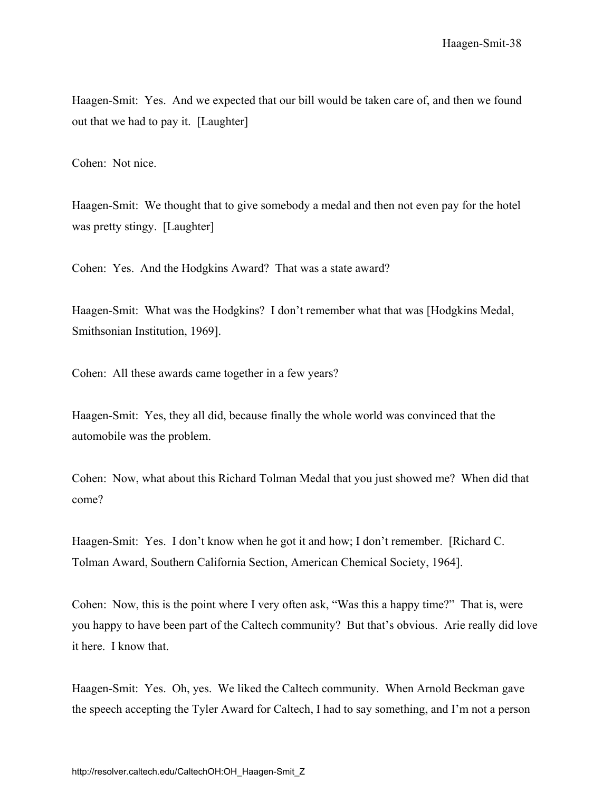Haagen-Smit: Yes. And we expected that our bill would be taken care of, and then we found out that we had to pay it. [Laughter]

Cohen: Not nice.

Haagen-Smit: We thought that to give somebody a medal and then not even pay for the hotel was pretty stingy. [Laughter]

Cohen: Yes. And the Hodgkins Award? That was a state award?

Haagen-Smit: What was the Hodgkins? I don't remember what that was [Hodgkins Medal, Smithsonian Institution, 1969].

Cohen: All these awards came together in a few years?

Haagen-Smit: Yes, they all did, because finally the whole world was convinced that the automobile was the problem.

Cohen: Now, what about this Richard Tolman Medal that you just showed me? When did that come?

Haagen-Smit: Yes. I don't know when he got it and how; I don't remember. [Richard C. Tolman Award, Southern California Section, American Chemical Society, 1964].

Cohen: Now, this is the point where I very often ask, "Was this a happy time?" That is, were you happy to have been part of the Caltech community? But that's obvious. Arie really did love it here. I know that.

Haagen-Smit: Yes. Oh, yes. We liked the Caltech community. When Arnold Beckman gave the speech accepting the Tyler Award for Caltech, I had to say something, and I'm not a person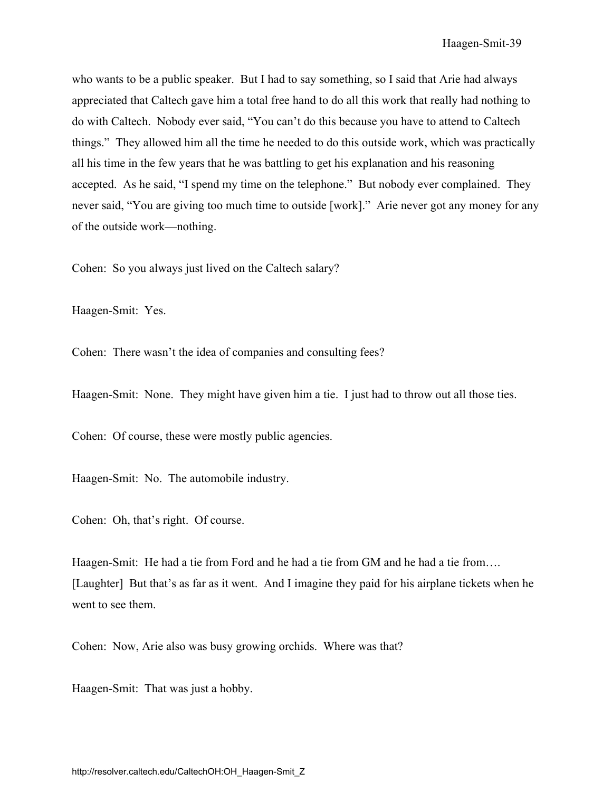who wants to be a public speaker. But I had to say something, so I said that Arie had always appreciated that Caltech gave him a total free hand to do all this work that really had nothing to do with Caltech. Nobody ever said, "You can't do this because you have to attend to Caltech things." They allowed him all the time he needed to do this outside work, which was practically all his time in the few years that he was battling to get his explanation and his reasoning accepted. As he said, "I spend my time on the telephone." But nobody ever complained. They never said, "You are giving too much time to outside [work]." Arie never got any money for any of the outside work—nothing.

Cohen: So you always just lived on the Caltech salary?

Haagen-Smit: Yes.

Cohen: There wasn't the idea of companies and consulting fees?

Haagen-Smit: None. They might have given him a tie. I just had to throw out all those ties.

Cohen: Of course, these were mostly public agencies.

Haagen-Smit: No. The automobile industry.

Cohen: Oh, that's right. Of course.

Haagen-Smit: He had a tie from Ford and he had a tie from GM and he had a tie from…. [Laughter] But that's as far as it went. And I imagine they paid for his airplane tickets when he went to see them.

Cohen: Now, Arie also was busy growing orchids. Where was that?

Haagen-Smit: That was just a hobby.